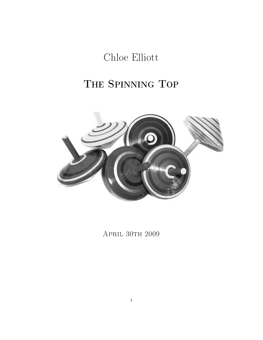Chloe Elliott

# THE SPINNING TOP



APRIL 30TH 2009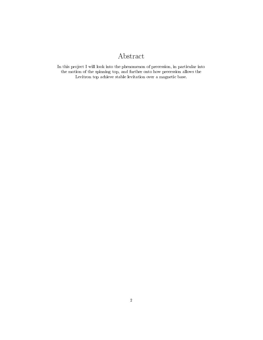### Abstract

In this project I will look into the phenomenon of precession, in particular into the motion of the spinning top, and further onto how precession allows the Levitron top achieve stable levitation over a magnetic base.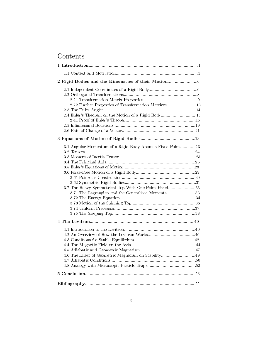### Contents

| 2.22 Further Properties of Transformation Matrices13<br>2.4 Euler's Theorem on the Motion of a Rigid Body15                                                             |  |  |  |
|-------------------------------------------------------------------------------------------------------------------------------------------------------------------------|--|--|--|
|                                                                                                                                                                         |  |  |  |
| 3.1 Angular Momentum of a Rigid Body About a Fixed Point23<br>3.7 The Heavy Symmetrical Top With One Point Fixed33<br>3.71 The Lagrangian and the Generalised Momenta33 |  |  |  |
|                                                                                                                                                                         |  |  |  |
| 4.6 The Effect of Geometric Magnetism on Stability49                                                                                                                    |  |  |  |
|                                                                                                                                                                         |  |  |  |
|                                                                                                                                                                         |  |  |  |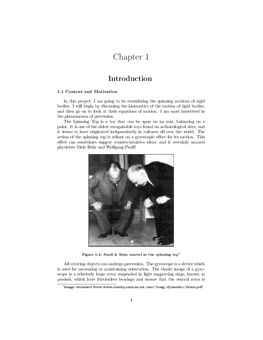## Chapter 1

### Introduction

#### 1.1 Context and Motivation

In this project, I am going to be considering the spinning motions of rigid bodies. I will begin by discussing the kinematics of the motion of rigid bodies, and then go on to look at their equations of motion. I am most interested in the phenomenon of precession.

The Spinning Top is a toy that can be spun on an axis, balancing on a point. It is one of the oldest recognisable toys found on archaeological sites, and it seems to have originated independently in cultures all over the world. The action of the spinning top is reliant on a gyroscopic effect for its motion. This effect can sometimes suggest counter-intuitive ideas, and it certainly amazed physicists Niels Bohr and Wolfgang Pauli!



Figure 1.1: Pauli & Bohr marvel at the spinning  $top<sup>1</sup>$ 

All rotating objects can undergo precession. The gyroscope is a device which is used for measuring or maintaining orientation. The classic image of a gyroscope is a relatively large rotor suspended in light supporting rings, known as gimbals, which have frictionless bearings and ensure that the central rotor is

 $^1$ image obtained from www.damtp.cam.ac.uk/user/tong/dynamics/three.pdf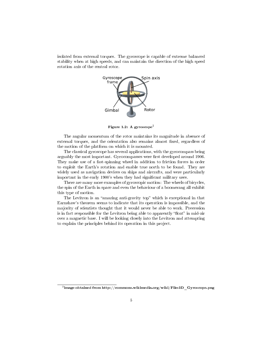isolated from external torques. The gyroscope is capable of extreme balanced stability when at high speeds, and can maintain the direction of the high speed rotation axis of the central rotor.



Figure 1.2: A gyroscope<sup>2</sup>

The angular momentum of the rotor maintains its magnitude in absence of external torques, and the orientation also remains almost fixed, regardless of the motion of the platform on which it is mounted.

The classical gyroscope has several applications, with the gyrocompass being arguably the most important. Gyrocompasses were first developed around 1906. They make use of a fast-spinning wheel in addition to friction forces in order to exploit the Earth's rotation and enable true north to be found. They are widely used as navigation devices on ships and aircrafts, and were particularly important in the early 1900's when they had significant military uses.

There are many more examples of gyroscopic motion: The wheels of bicycles, the spin of the Earth in space and even the behaviour of a boomerang all exhibit this type of motion.

The Levitron is an "amazing anti-gravity top" which is exceptional in that Earnshaw's theorem seems to indicate that its operation is impossible, and the majority of scientists thought that it would never be able to work. Precession is in fact responsible for the Levitron being able to apparently "float" in mid-air over a magnetic base. I will be looking closely into the Levitron and attempting to explain the principles behind its operation in this project.

 $^2$ image obtained from http://commons.wikimedia.org/wiki/File:3D\_Gyroscope.png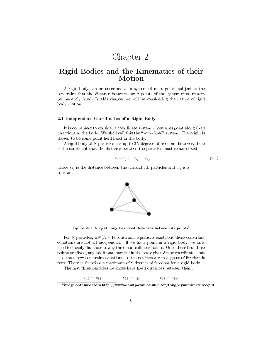## Chapter 2

### Rigid Bodies and the Kinematics of their Motion

A rigid body can be described as a system of mass points subject to the constraint that the distance between any 2 points of the system must remain permanently fixed. In this chapter we will be considering the nature of rigid body motion.

#### 2.1 Independent Coordinates of a Rigid Body

It is convenient to consider a coordinate system whose axes point along fixed directions in the body. We shall call this the "body-fixed" system. The origin is chosen to be some point held fixed in the body.

A rigid body of N particles has up to 3N degrees of freedom, however, there is the constraint that the distance between the particles must remain fixed:

$$
|r_i - r_j| = r_{ij} = c_{ij} \tag{2.1}
$$

where  $r_{ij}$  is the distance between the *i*th and *j*th particles and  $c_{ij}$  is a constant.



Figure 2.1: A rigid body has fixed distances between its points<sup>3</sup>

For N particles,  $\frac{1}{2}N(N-1)$  constraint equations exist, but these constraint equations are not all independent. If we fix a point in a rigid body, we only need to specify distances to any three non-collinear points. Once these first three points are fixed, any additional particle in the body gives 3 new coordinates, but also three new constraint equations, so the net increase in degrees of freedom is zero. There is therefore a maximum of 9 degrees of freedom for a rigid body.

The first three particles we chose have fixed distances between them:

 $r_{12} = c_{12}$   $r_{23} = c_{23}$   $r_{13} = c_{13}.$ 

 $^3$ image obtained from http://www.damtp.cam.ac.uk/user/tong/dynamics/three.pdf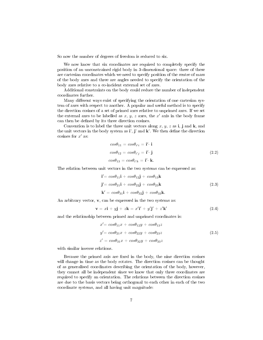So now the number of degrees of freedom is reduced to six.

We now know that six coordinates are required to completely specify the position of an unconstrained rigid body in 3-dimensional space: three of these are cartesian coordinates which we need to specify position of the centre of mass of the body axes and three are angles needed to specify the orientation of the body axes relative to a co-incident external set of axes.

Additional constraints on the body could reduce the number of independent coordinates further.

Many different ways exist of specifying the orientation of one cartesian system of axes with respect to another. A popular and useful method is to specify the direction cosines of a set of primed axes relative to unprimed axes. If we set the external axes to be labelled as  $x, y, z$  axes, the  $x'$  axis in the body frame can then be defined by its three direction cosines.

Convention is to label the three unit vectors along x, y, z as i, j and k, and the unit vectors in the body system as  $\mathbf{i}'$ ,  $\mathbf{j}'$  and  $\mathbf{k}'$ . We then define the direction cosines for  $x'$  as:

$$
cos\theta_{11} = cos\theta_{i'i} = \mathbf{i'} \cdot \mathbf{i}
$$
  
\n
$$
cos\theta_{12} = cos\theta_{i'j} = \mathbf{i'} \cdot \mathbf{j}
$$
  
\n
$$
cos\theta_{13} = cos\theta_{i'k} = \mathbf{i'} \cdot \mathbf{k}.
$$
  
\n(2.2)

The relation between unit vectors in the two systems can be expressed as:

$$
\mathbf{i}' = \cos\theta_{11}\mathbf{i} + \cos\theta_{12}\mathbf{j} + \cos\theta_{13}\mathbf{k}
$$
  
\n
$$
\mathbf{j}' = \cos\theta_{21}\mathbf{i} + \cos\theta_{22}\mathbf{j} + \cos\theta_{23}\mathbf{k}
$$
  
\n
$$
\mathbf{k}' = \cos\theta_{31}\mathbf{i} + \cos\theta_{32}\mathbf{j} + \cos\theta_{33}\mathbf{k}.
$$
  
\n(2.3)

An arbitrary vector,  $\mathbf{v}$ , can be expressed in the two systems as:

$$
\mathbf{v} = x\mathbf{i} + y\mathbf{j} + z\mathbf{k} = x'\mathbf{i}' + y'\mathbf{j}' + z'\mathbf{k}'
$$
 (2.4)

and the relationship between primed and unprimed coordinates is:

$$
x' = cos\theta_{11}x + cos\theta_{12}y + cos\theta_{13}z
$$
  
\n
$$
y' = cos\theta_{21}x + cos\theta_{22}y + cos\theta_{23}z
$$
  
\n
$$
z' = cos\theta_{31}x + cos\theta_{32}y + cos\theta_{33}z
$$
\n(2.5)

with similar inverse relations.

Because the primed axis are fixed in the body, the nine direction cosines will change in time as the body rotates. The direction cosines can be thought of as generalised coordinates describing the orientation of the body, however, they cannot all be independent since we know that only three coordinates are required to specify an orientation. The relations between the direction cosines are due to the basis vectors being orthogonal to each other in each of the two coordinate systems, and all having unit magnitude: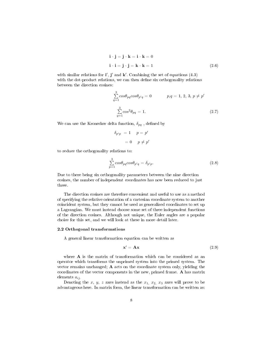$$
\mathbf{i} \cdot \mathbf{j} = \mathbf{j} \cdot \mathbf{k} = \mathbf{i} \cdot \mathbf{k} = 0
$$
  

$$
\mathbf{i} \cdot \mathbf{i} = \mathbf{j} \cdot \mathbf{j} = \mathbf{k} \cdot \mathbf{k} = 1
$$
 (2.6)

with similar relations for  $\mathbf{i}', \mathbf{j}'$  and  $\mathbf{k}'$ . Combining the set of equations (4.3) with the dot-product relations, we can then define six orthogonality relations between the direction cosines:

$$
\sum_{q=1}^{3} \cos \theta_{pq} \cos \theta_{p'q} = 0 \qquad p, q = 1, 2, 3, p \neq p'
$$
  

$$
\sum_{q=1}^{3} \cos^2 \theta_{pq} = 1.
$$
 (2.7)

We can use the Kronecker delta function,  $\delta_{pq}$ , defined by

$$
\begin{aligned}\n\delta_{p'p} &= 1 & p &= p' \\
&= 0 & p \neq p'\n\end{aligned}
$$

to reduce the orthogonality relations to:

$$
\sum_{p=1}^{3} \cos \theta_{pq} \cos \theta_{p'q} = \delta_{p'p}.
$$
\n(2.8)

Due to there being six orthogonality parameters between the nine direction cosines, the number of independent coordinates has now been reduced to just three.

The direction cosines are therefore convenient and useful to use as a method of specifying the relative orientation of a cartesian coordinate system to another coincident system, but they cannot be used as generalized coordinates to set up a Lagrangian. We must instead choose some set of three independent functions of the direction cosines. Although not unique, the Euler angles are a popular choice for this set, and we will look at these in more detail later.

#### 2.2 Orthogonal transformations

A general linear transformation equation can be written as

$$
\mathbf{x}' = \mathbf{A}\mathbf{x} \tag{2.9}
$$

where  $A$  is the matrix of transformation which can be considered as an operator which transforms the unprimed system into the primed system. The vector remains unchanged; A acts on the coordinate system only, yielding the coordinates of the vector components in the new, primed frame. A has matrix elements  $a_{ij}$ .

Denoting the  $x, y, z$  axes instead as the  $x_1, x_2, x_3$  axes will prove to be advantageous here. In matrix form, the linear transformation can be written as: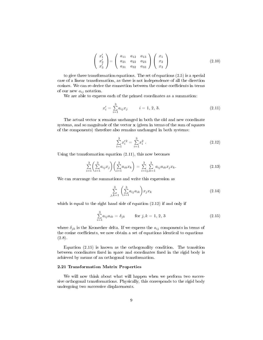$$
\begin{pmatrix} x_1' \\ x_2' \\ x_3' \end{pmatrix} = \begin{pmatrix} a_{11} & a_{12} & a_{13} \\ a_{21} & a_{22} & a_{23} \\ a_{31} & a_{32} & a_{33} \end{pmatrix} \begin{pmatrix} x_1 \\ x_2 \\ x_3 \end{pmatrix}
$$
 (2.10)

to give three transformation equations. The set of equations (2.5) is a special case of a linear transformation, as there is not independence of all the direction cosines. We can re-derive the connection between the cosine coefficients in terms of our new  $a_{ij}$  notation.

We are able to express each of the primed coordinates as a summation:

$$
x_i' = \sum_{i=1}^{3} a_{ij} x_j \qquad i = 1, 2, 3. \tag{2.11}
$$

The actual vector x remains unchanged in both the old and new coordinate systems, and so magnitude of the vector x (given in terms of the sum of squares of the components) therefore also remains unchanged in both systems:

$$
\sum_{i=1}^{3} x_i'^2 = \sum_{i=1}^{3} x_i^2 \tag{2.12}
$$

Using the transformation equation (2.11), this now becomes

$$
\sum_{i=1}^{3} \left( \sum_{i=1}^{3} a_{ij} x_j \right) \left( \sum_{i=1}^{3} a_{ik} x_k \right) = \sum_{i=1}^{3} \sum_{j,k=1}^{3} a_{ij} a_{ik} x_j x_k. \tag{2.13}
$$

We can rearrange the summations and write this expression as

$$
\sum_{j,k=1}^{3} \left( \sum_{i=1}^{3} a_{ij} a_{ik} \right) x_j x_k \tag{2.14}
$$

which is equal to the right hand side of equation (2.12) if and only if

$$
\sum_{i=1}^{3} a_{ij} a_{ik} = \delta_{jk} \qquad \text{for } j, k = 1, 2, 3
$$
 (2.15)

where  $\delta_{jk}$  is the Kronecker delta. If we express the  $a_{ij}$  components in terms of the cosine coefficients, we now obtain a set of equations identical to equations (2.8).

Equation (2.15) is known as the orthogonality condition. The transition between coordinates fixed in space and coordinates fixed in the rigid body is achieved by means of an orthogonal transformation.

#### 2.21 Transformation Matrix Properties

We will now think about what will happen when we perform two successive orthogonal transformations. Physically, this corresponds to the rigid body undergoing two successive displacements.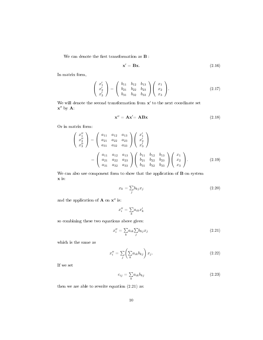We can denote the first transformation as  $\mathbf B$  :

$$
\mathbf{x}' = \mathbf{B}\mathbf{x}.\tag{2.16}
$$

In matrix form,

$$
\begin{pmatrix} x_1' \\ x_2' \\ x_3' \end{pmatrix} = \begin{pmatrix} b_{11} & b_{12} & b_{13} \\ b_{21} & b_{22} & b_{23} \\ b_{31} & b_{32} & b_{33} \end{pmatrix} \begin{pmatrix} x_1 \\ x_2 \\ x_3 \end{pmatrix}.
$$
 (2.17)

We will denote the second transformation from  $x'$  to the next coordinate set  $\mathbf{x}^{\prime\prime}$  by  $\mathbf{A}$ :

$$
\mathbf{x}'' = \mathbf{A}\mathbf{x}' = \mathbf{A}\mathbf{B}\mathbf{x} \tag{2.18}
$$

Or in matrix form:

$$
\begin{pmatrix}\nx_1'' \\
x_2'' \\
x_3''\n\end{pmatrix} = \begin{pmatrix}\na_{11} & a_{12} & a_{13} \\
a_{21} & a_{22} & a_{23} \\
a_{31} & a_{32} & a_{33}\n\end{pmatrix} \begin{pmatrix}\nx_1' \\
x_2' \\
x_3'\n\end{pmatrix}
$$
\n
$$
= \begin{pmatrix}\na_{11} & a_{12} & a_{13} \\
a_{21} & a_{22} & a_{23} \\
a_{31} & a_{32} & a_{33}\n\end{pmatrix} \begin{pmatrix}\nb_{11} & b_{12} & b_{13} \\
b_{21} & b_{22} & b_{23} \\
b_{31} & b_{32} & b_{33}\n\end{pmatrix} \begin{pmatrix}\nx_1 \\
x_2 \\
x_3\n\end{pmatrix}.
$$
\n(2.19)

We can also use component form to show that the application of **B** on system x is:

$$
x_k = \sum_j b_{kj} x_j \tag{2.20}
$$

and the application of  $A$  on  $x''$  is:

$$
x_i'' = \sum_k\!_{ik}x_k'
$$

so combining these two equations above gives:

$$
x_i'' = \sum_k a_{ik} \sum_j b_{kj} x_j \tag{2.21}
$$

which is the same as

$$
x_i'' = \sum_j \left(\sum_k a_{ik} b_{kj}\right) x_j. \tag{2.22}
$$

If we set

$$
c_{ij} = \sum_{k} a_{ik} b_{kj} \tag{2.23}
$$

then we are able to rewrite equation (2.21) as: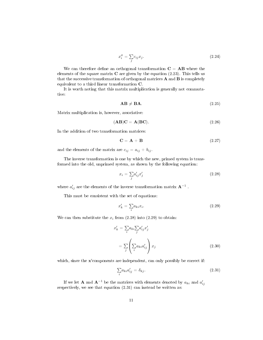$$
x_i'' = \sum_j c_{ij} x_j. \tag{2.24}
$$

We can therefore define an orthogonal transformation  $C = AB$  where the elements of the square matrix  $C$  are given by the equation  $(2.23)$ . This tells us that the successive transformation of orthogonal matrices  $A$  and  $B$  is completely equivalent to a third linear transformation C.

It is worth noting that this matrix multiplication is generally not commutative:

$$
\mathbf{AB} \neq \mathbf{BA}.\tag{2.25}
$$

Matrix multiplication is, however, associative:

$$
(\mathbf{AB})\mathbf{C} = \mathbf{A}(\mathbf{BC}).\tag{2.26}
$$

In the addition of two transformation matrices:

$$
\mathbf{C} = \mathbf{A} + \mathbf{B} \tag{2.27}
$$

and the elements of the matrix are  $c_{ij} = a_{ij} + b_{ij}$ .

The inverse transformation is one by which the new, primed system is transformed into the old, unprimed system, as shown by the following equation:

$$
x_i = \sum_j a'_{ij} x'_j \tag{2.28}
$$

where  $a'_{ij}$  are the elements of the inverse transformation matrix  $A^{-1}$ .

This must be consistent with the set of equations:

$$
x_k' = \sum_i a_{ki} x_i. \tag{2.29}
$$

We can then substitute the  $x_i$  from (2.28) into (2.29) to obtain:

$$
x'_{k} = \sum_{i} a_{ki} \sum_{j} a'_{ij} x'_{j}
$$

$$
= \sum_{j} \left( \sum_{i} a_{ki} a'_{ij} \right) x_{j}
$$
(2.30)

which, since the  $x'$ components are independent, can only possibly be correct if:

$$
\sum_{i} a_{ki} a'_{ij} = \delta_{kj}.\tag{2.31}
$$

If we let **A** and  $\mathbf{A}^{-1}$  be the matrices with elements denoted by  $a_{ki}$  and  $a'_{ij}$ respectively, we see that equation  $(2.31)$  can instead be written as: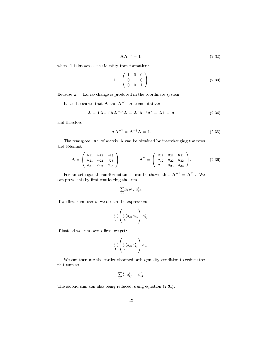$$
AA^{-1} = 1 \tag{2.32}
$$

where  $\boldsymbol{1}$  is known as the identity transformation:

$$
\mathbf{1} = \left( \begin{array}{ccc} 1 & 0 & 0 \\ 0 & 1 & 0 \\ 0 & 0 & 1 \end{array} \right). \tag{2.33}
$$

Because  $x = 1x$ , no change is produced in the coordinate system.

It can be shown that **A** and  $A^{-1}$  are commutative:

$$
A = 1A = (AA^{-1})A = A(A^{-1}A) = A1 = A
$$
 (2.34)

and therefore

$$
AA^{-1} = A^{-1}A = 1.
$$
 (2.35)

The transpose,  $\mathbf{A}^T$  of matrix  $\mathbf{A}$  can be obtained by interchanging the rows and columns:

$$
\mathbf{A} = \left(\begin{array}{ccc} a_{11} & a_{12} & a_{13} \\ a_{21} & a_{22} & a_{23} \\ a_{31} & a_{32} & a_{33} \end{array}\right) \qquad \mathbf{A}^T = \left(\begin{array}{ccc} a_{11} & a_{21} & a_{31} \\ a_{12} & a_{22} & a_{32} \\ a_{13} & a_{23} & a_{33} \end{array}\right). \qquad (2.36)
$$

For an orthogonal transformation, it can be shown that  $A^{-1} = A^T$  . We can prove this by first considering the sum:

$$
{\textstyle \sum\limits_{k,i}} a_{kl} a_{ki} a'_{ij}.
$$

If we first sum over  $k$ , we obtain the expression:

$$
\sum_{i} \left( \sum_{k} a_{kl} a_{ki} \right) a'_{ij}.
$$

If instead we sum over  $i$  first, we get:

$$
\sum_{k} \left( \sum_{i} a_{ki} a'_{ij} \right) a_{kl}.
$$

We can then use the earlier obtained orthogonality condition to reduce the first sum to

$$
\sum_i \delta_{il} a'_{ij} = a'_{lj}.
$$

The second sum can also being reduced, using equation (2.31):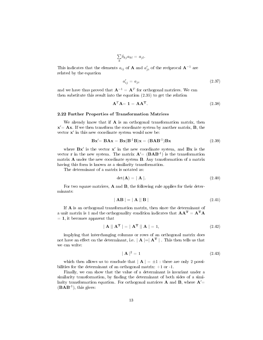$$
\sum_k \delta_{kj} a_{kl} = a_{jl}.
$$

This indicates that the elements  $a_{ij}$  of **A** and  $a'_{ji}$  of the reciprocal  $A^{-1}$  are related by the equation

$$
a'_{ij} = a_{ji} \tag{2.37}
$$

and we have thus proved that  $\mathbf{A}^{-1} = \mathbf{A}^T$  for orthogonal matrices. We can then substitute this result into the equation (2.35) to get the relation

$$
\mathbf{A}^T \mathbf{A} = \mathbf{1} = \mathbf{A} \mathbf{A}^T. \tag{2.38}
$$

#### 2.22 Further Properties of Transformation Matrices

We already know that if  $\bf{A}$  is an orthogonal transformation matrix, then  $\mathbf{x}' = \mathbf{A}\mathbf{x}$ . If we then transform the coordinate system by another matrix,  $\mathbf{B}$ , the vector  $x'$  in this new coordinate system would now be:

$$
\mathbf{Bx}' = \mathbf{BAx} = \mathbf{Bx}(\mathbf{B}^{-1}\mathbf{B})\mathbf{x} = (\mathbf{BAB}^{-1})\mathbf{Bx}
$$
 (2.39)

where  $Bx'$  is the vector  $x'$  in the new coordinate system, and  $Bx$  is the vector **r** in the new system. The matrix  $A' = (BAB^{-1})$  is the transformation matrix A under the new coordinate system B. Any transformation of a matrix having this form is known as a similarity transformation.

The determinant of a matrix is notated as:

$$
\det(\mathbf{A}) = |\mathbf{A}|. \tag{2.40}
$$

For two square matrices, **A** and **B**, the following rule applies for their determinants:

$$
|\mathbf{AB}| = |\mathbf{A}||\mathbf{B}| \tag{2.41}
$$

If A is an orthogonal transformation matrix, then since the determinant of a unit matrix is 1 and the orthogonality condition indicates that  $AA^T = A^T A$  $= 1$ , it becomes apparent that

$$
|\mathbf{A}||\mathbf{A}^{\mathrm{T}}| = |\mathbf{A}^{\mathrm{T}}||\mathbf{A}| = 1,
$$
\n(2.42)

implying that interchanging columns or rows of an orthogonal matrix does not have an effect on the determinant, i.e.  $\mathbf{A} = \mathbf{A}^T$ . This then tells us that we can write:

$$
|\mathbf{A}|^2 = 1 \tag{2.43}
$$

which then allows us to conclude that  $|\mathbf{A}| = \pm 1$ : there are only 2 possibilities for the determinant of an orthogonal matrix:  $+1$  or  $-1$ .

Finally, we can show that the value of a determinant is invariant under a similarity transformation, by finding the determinant of both sides of a similarity transformation equation. For orthogonal matrices **A** and **B**, where  $A'$ =  $(BAB^{-1})$ , this gives: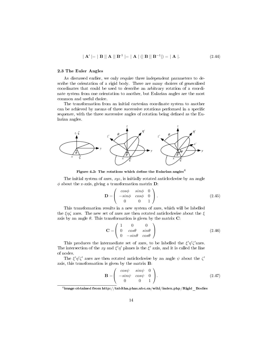$$
|\mathbf{A}'| = |\mathbf{B}||\mathbf{A}||\mathbf{B}^{-1}| = |\mathbf{A}| (|\mathbf{B}||\mathbf{B}^{-1}|) = |\mathbf{A}|.
$$
 (2.44)

#### 2.3 The Euler Angles

As discussed earlier, we only require three independent parameters to describe the orientation of a rigid body. There are many choices of generalised coordinates that could be used to describe an arbitrary rotation of a coordinate system from one orientation to another, but Eularian angles are the most common and useful choice.

The transformation from an initial cartesian coordinate system to another can be achieved by means of three successive rotations performed in a specific sequence, with the three successive angles of rotation being defined as the Eularian angles.



Figure 4.2: The rotations which define the Eularian angles<sup>4</sup>

The initial system of axes,  $xyz$ , is initially rotated anticlockwise by an angle  $\phi$  about the z-axis, giving a transformation matrix **D**:

$$
\mathbf{D} = \begin{pmatrix} \cos\phi & \sin\phi & 0 \\ -\sin\phi & \cos\phi & 0 \\ 0 & 0 & 1 \end{pmatrix} . \tag{2.45}
$$

This transformation results in a new system of axes, which will be labelled the  $\xi \eta \zeta$  axes. The new set of axes are then rotated anticlockwise about the  $\xi$ axis by an angle  $\theta$ . This transformation is given by the matrix C:

$$
\mathbf{C} = \begin{pmatrix} 1 & 0 & 0 \\ 0 & cos\theta & sin\theta \\ 0 & -sin\theta & cos\theta \end{pmatrix}
$$
 (2.46)

This produces the intermediate set of axes, to be labelled the  $\xi' \eta' \zeta'$  axes. The intersection of the xy and  $\xi'\eta'$  planes is the  $\xi'$  axis, and it is called the line of nodes.

The  $\xi' \eta' \zeta'$  axes are then rotated anticlockwise by an angle  $\psi$  about the  $\zeta'$ axis, this transformation is given by the matrix B:

$$
\mathbf{B} = \begin{pmatrix} \cos\psi & \sin\psi & 0 \\ -\sin\psi & \cos\psi & 0 \\ 0 & 0 & 1 \end{pmatrix} . \tag{2.47}
$$

 $^4$ image obtained from http://tabitha.phas.ubc.ca/wiki/index.php/Rigid\_Bodies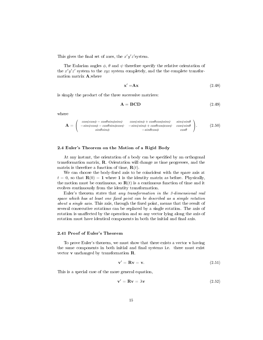This gives the final set of axes, the  $x'y'z'$ system.

The Eularian angles  $\phi$ ,  $\theta$  and  $\psi$  therefore specify the relative orientation of the  $x'y'z'$  system to the  $xyz$  system completely, and the the complete transformation matrix A,where

$$
\mathbf{x}' = \mathbf{A}\mathbf{x} \tag{2.48}
$$

is simply the product of the three successive matrices:

$$
\mathbf{A} = \mathbf{BCD} \tag{2.49}
$$

where

$$
\mathbf{A} = \begin{pmatrix} cos\psi cos\phi - cos\theta sin\phi sin\psi & cos\psi sin\phi + cos\theta cos\phi sin\psi & sin\psi sin\theta \\ -sin\psi cos\phi - cos\theta sin\phi cos\psi & -sin\psi sin\phi + cos\theta cos\phi cos\psi & cos\psi sin\theta \\ sin\theta sin\phi & -sin\theta cos\phi & cos\theta \end{pmatrix}.
$$
 (2.50)

#### 2.4 Euler's Theorem on the Motion of a Rigid Body

At any instant, the orientation of a body can be specified by an orthogonal transformation matrix, R. Orientation will change as time progresses, and the matrix is therefore a function of time,  $\mathbf{R}(t)$ .

We can choose the body-fixed axis to be coincident with the space axis at  $t = 0$ , so that  $\mathbf{R}(0) = 1$  where 1 is the identity matrix as before. Physically, the motion must be continuous, so  $\mathbf{R}(t)$  is a continuous function of time and it evolves continuously from the identity transformation.

Euler's theorem states that any transformation in the 3-dimensional real space which has at least one fixed point can be described as a simple rotation about a single axis. This axis, through the fixed point, means that the result of several consecutive rotations can be replaced by a single rotation. The axis of rotation is unaffected by the operation and so any vector lying along the axis of rotation must have identical components in both the initial and final axis.

#### 2.41 Proof of Euler's Theorem

To prove Euler's theorem, we must show that there exists a vector  $\bf{v}$  having the same components in both initial and final systems i.e. there must exist vector v unchanged by transformation R.

$$
\mathbf{v}' = \mathbf{R}\mathbf{v} = \mathbf{v}.\tag{2.51}
$$

This is a special case of the more general equation,

$$
\mathbf{v}' = \mathbf{R}\mathbf{v} = \lambda \mathbf{v} \tag{2.52}
$$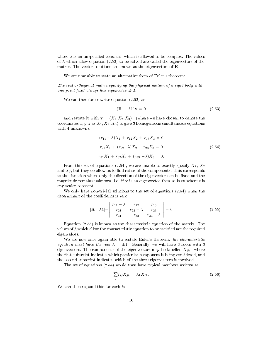where  $\lambda$  is an unspecified constant, which is allowed to be complex. The values of  $\lambda$  which allow equation (2.52) to be solved are called the eigenvectors of the matrix. The vector solutions are known as the eigenvectors of R.

We are now able to state an alternative form of Euler's theorem:

The real orthogonal matrix specifying the physical motion of a rigid body with one point fixed always has eigenvalue  $\pm$  1.

We can therefore rewrite equation  $(2.52)$  as

$$
(\mathbf{R} - \lambda \mathbf{1})\mathbf{v} = 0 \tag{2.53}
$$

and restate it with  $\mathbf{v} = (X_1 \ X_2 \ X_3)^{\mathrm{T}}$  (where we have chosen to denote the coordinates  $x, y, z$  as  $X_1, X_2, X_3$  to give 3 homogeneous simultaneous equations with 4 unknowns:

$$
(r_{11} - \lambda)X_1 + r_{12}X_2 + r_{13}X_3 = 0
$$
  
\n
$$
r_{21}X_1 + (r_{22} - \lambda)X_2 + r_{23}X_3 = 0
$$
  
\n
$$
r_{31}X_1 + r_{32}X_2 + (r_{33} - \lambda)X_3 = 0.
$$
\n(2.54)

From this set of equations (2.54), we are unable to exactly specify  $X_1, X_2$ and  $X_3$ , but they do allow us to find ratios of the components. This corresponds to the situation where only the direction of the eigenvector can be fixed and the magnitude remains unknown, i.e. if  $\bf{v}$  is an eigenvector then so is tv where t is any scalar constant.

We only have non-trivial solutions to the set of equations (2.54) when the determinant of the coefficients is zero:

$$
|\mathbf{R} - \lambda \mathbf{1}| = \begin{vmatrix} r_{11} - \lambda & r_{12} & r_{13} \\ r_{21} & r_{22} - \lambda & r_{23} \\ r_{31} & r_{32} & r_{33} - \lambda \end{vmatrix} = 0
$$
 (2.55)

Equation (2.55) is known as the characteristic equation of the matrix. The values of  $\lambda$  which allow the characteristic equation to be satisfied are the required eigenvalues.

We are now once again able to restate Euler's theorem: the characteristic equation must have the root  $\lambda = \pm 1$ . Generally, we will have 3 roots with 3 eigenvectors. The components of the eigenvectors may be labelled  $X_{ik}$ , where the first subscript indicates which particular component is being considered, and the second subscript indicates which of the three eigenvectors is involved.

The set of equations (2.54) would then have typical members written as

$$
\sum_{j} r_{ij} X_{jk} = \lambda_k X_{ik}.
$$
\n(2.56)

We can then expand this for each  $k$ :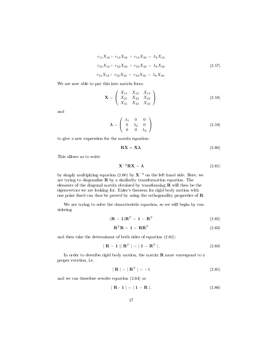$$
r_{11}X_{1k} + r_{12}X_{2k} + r_{13}X_{3k} = \lambda_k X_{1k}
$$
  
\n
$$
r_{21}X_{1k} + r_{22}X_{2k} + r_{23}X_{3k} = \lambda_k X_{2k}
$$
  
\n
$$
r_{31}X_{1k} + r_{32}X_{2k} + r_{33}X_{3k} = \lambda_k X_{3k}.
$$
  
\n(2.57)

We are now able to put this into matrix form:

$$
\mathbf{X} = \left(\begin{array}{ccc} X_{11} & X_{12} & X_{13} \\ X_{21} & X_{22} & X_{23} \\ X_{31} & X_{32} & X_{33} \end{array}\right) \tag{2.58}
$$

and

$$
\lambda = \left(\begin{array}{ccc} \lambda_1 & 0 & 0\\ 0 & \lambda_2 & 0\\ 0 & 0 & \lambda_3 \end{array}\right) \tag{2.59}
$$

to give a new expression for the matrix equation:

$$
\mathbf{R}\mathbf{X} = \mathbf{X}\boldsymbol{\lambda}.\tag{2.60}
$$

This allows us to write

$$
\mathbf{X}^{-1}\mathbf{R}\mathbf{X} = \boldsymbol{\lambda} \tag{2.61}
$$

by simply multiplying equation (2.60) by  $X^{-1}$  on the left hand side. Here, we are trying to diagonalise  $R$  by a similarity transformation equation. The elements of the diagonal matrix obtained by transforming  **will then be the** eigenvectors we are looking for. Euler's theorem for rigid body motion with one point fixed can thus be proved by using the orthogonality properties of **.** 

We are trying to solve the characteristic equation, so we will begin by considering

$$
(\mathbf{R} - \mathbf{1})\mathbf{R}^T = \mathbf{1} - \mathbf{R}^T \tag{2.62}
$$

$$
\mathbf{R}^T \mathbf{R} = \mathbf{1} = \mathbf{R} \mathbf{R}^T \tag{2.63}
$$

and then take the determinant of both sides of equation (2.62):

$$
|\mathbf{R} - \mathbf{1}| \|\mathbf{R}^T\| = |\mathbf{1} - \mathbf{R}^T| \tag{2.64}
$$

In order to describe rigid body motion, the matrix  **must correspond to a** proper rotation, i.e.

$$
|\mathbf{R}| = |\mathbf{R}^T| = +1 \tag{2.65}
$$

and we can therefore rewrite equation (2.64) as

$$
|\mathbf{R} \cdot \mathbf{1}| = |\mathbf{1} - \mathbf{R}| \tag{2.66}
$$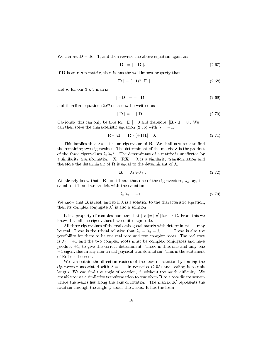We can set  $D = R - 1$ , and then rewrite the above equation again as:

$$
|\mathbf{D}| = |- \mathbf{D}|.\tag{2.67}
$$

If D is an n x n matrix, then it has the well-known property that

$$
|-\mathbf{D}| = (-1)^n |\mathbf{D}| \tag{2.68}
$$

and so for our 3 x 3 matrix,

$$
|\mathbf{-D}| = -|\mathbf{D}| \tag{2.69}
$$

and therefore equation (2.67) can now be written as

$$
|\mathbf{D}| = -|\mathbf{D}|.\tag{2.70}
$$

Obviously this can only be true for  $|\mathbf{D}| = 0$  and therefore,  $|\mathbf{R} - \mathbf{1}| = 0$ . We can then solve the characteristic equation (2.55) with  $\lambda = +1$ :

$$
|\mathbf{R} - \lambda \mathbf{1}| = |\mathbf{R} - (+1)\mathbf{1}| = 0. \tag{2.71}
$$

This implies that  $\lambda = +1$  is an eigenvalue of **R**. We shall now seek to find the remaining two eigenvalues. The determinant of the matrix  $\lambda$  is the product of the three eigenvalues  $\lambda_1 \lambda_2 \lambda_3$ . The determinant of a matrix is unaffected by a similarity transformation.  $X^{-1}RX = \lambda$  is a similarity transformation and therefore the determinant of **R** is equal to the determinant of  $\lambda$ :

$$
| \mathbf{R} | = \lambda_1 \lambda_2 \lambda_3 \tag{2.72}
$$

We already know that  $|\mathbf{R}| = +1$  and that one of the eigenvectors,  $\lambda_3$  say, is equal to  $+1$ , and we are left with the equation:

$$
\lambda_1 \lambda_2 = +1. \tag{2.73}
$$

We know that **R** is real, and so if  $\lambda$  is a solution to the characteristic equation, then its complex conjugate  $\lambda^*$  is also a solution.

It is a property of complex numbers that  $||c||=||c^*||$  for  $c \in \mathbb{C}$ . From this we know that all the eigenvalues have unit magnitude.

All three eigenvalues of the real orthogonal matrix with determinant  $+1$  may be real. There is the trivial solution that  $\lambda_1 = \lambda_2 = \lambda_3 = 1$ . There is also the possibility for there to be one real root and two complex roots. The real root is  $\lambda_3$  = +1 and the two complex roots must be complex conjugates and have product  $+1$ , to give the correct determinant. There is thus one and only one +1 eigenvalue in any non-trivial physical transformation. This is the statement of Euler's theorem.

We can obtain the direction cosines of the axes of rotation by finding the eigenvector associated with  $\lambda = +1$  in equation (2.53) and scaling it to unit length. We can find the angle of rotation,  $\phi$ , without too much difficulty. We are able to use a similarity transformation to transform  $\bf{R}$  to a coordinate system where the z-axis lies along the axis of rotation. The matrix  $\mathbf{R}'$  represents the rotation through the angle  $\phi$  about the z-axis. It has the form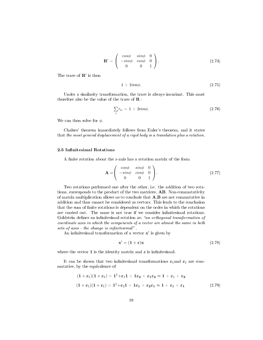$$
\mathbf{R'} = \begin{pmatrix} \cos\phi & \sin\phi & 0 \\ -\sin\phi & \cos\phi & 0 \\ 0 & 0 & 1 \end{pmatrix}.
$$
 (2.74)

The trace of  $\mathbf{R}'$  is then

$$
1 + 2\cos\phi. \tag{2.75}
$$

Under a similarity transformation, the trace is always invariant. This must therefore also be the value of the trace of **:** 

$$
\sum_{i} r_{ii} = 1 + 2\cos\phi. \tag{2.76}
$$

We can then solve for  $\phi$ .

Chalses' theorem immediately follows from Euler's theorem, and it states that the most general displacement of a rigid body is a translation plus a rotation.

#### 2.5 Infinitesimal Rotations

A finite rotation about the z-axis has a rotation matrix of the form

$$
\mathbf{A} = \begin{pmatrix} \cos\phi & \sin\phi & 0 \\ -\sin\phi & \cos\phi & 0 \\ 0 & 0 & 1 \end{pmatrix} . \tag{2.77}
$$

Two rotations performed one after the other, i.e. the addition of two rotations, corresponds to the product of the two matrices, AB. Non-commutativity of matrix multiplication allows us to conclude that A,B are not commutative in addition and thus cannot be considered as vectors. This leads to the conclusion that the sum of finite rotations is dependent on the order in which the rotations are carried out. The same is not true if we consider infinitesimal rotations. Goldstein defines an infinitesimal rotation as: "an orthogonal transformation of coordinate axes in which the components of a vector are almost the same in both sets of axes - the change is infinitesimal".

An infinitesimal transformation of a vector  $x'$  is given by

$$
\mathbf{x}' = (1 + \varepsilon)\mathbf{x} \tag{2.78}
$$

where the vector 1 is the identity matrix and  $\varepsilon$  is infinitesimal.

It can be shown that two infinitesimal transformations  $\varepsilon_1$  and  $\varepsilon_2$  are commutative, by the equivalence of

$$
(1 + \varepsilon_1)(1 + \varepsilon_2) = 1^2 + \varepsilon_1 1 + 1\varepsilon_2 + \varepsilon_1 \varepsilon_2 \approx 1 + \varepsilon_1 + \varepsilon_2
$$
  

$$
(1 + \varepsilon_2)(1 + \varepsilon_1) = 1^2 + \varepsilon_2 1 + 1\varepsilon_1 + \varepsilon_2 \varepsilon_1 \approx 1 + \varepsilon_2 + \varepsilon_1
$$
 (2.79)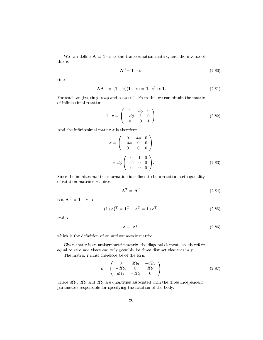We can define  $A \equiv 1+\varepsilon$  as the transformation matrix, and the inverse of this is

$$
\mathbf{A}^{-1} = \mathbf{1} - \boldsymbol{\varepsilon} \tag{2.80}
$$

since

$$
AA^{-1} = (1+\varepsilon)(1-\varepsilon) = 1-\varepsilon^2 \approx 1.
$$
 (2.81)

For small angles,  $\sin \phi \approx d\phi$  and  $\cos \phi \approx 1$ . From this we can obtain the matrix of infinitesimal rotation:

$$
\mathbf{1} + \boldsymbol{\varepsilon} = \begin{pmatrix} 1 & d\phi & 0 \\ -d\phi & 1 & 0 \\ 0 & 0 & 1 \end{pmatrix}.
$$
 (2.82)

And the infinitesimal matrix  $\varepsilon$  is therefore

$$
\varepsilon = \begin{pmatrix} 0 & d\phi & 0 \\ -d\phi & 0 & 0 \\ 0 & 0 & 0 \end{pmatrix}
$$

$$
= d\phi \begin{pmatrix} 0 & 1 & 0 \\ -1 & 0 & 0 \\ 0 & 0 & 0 \end{pmatrix}.
$$
(2.83)

Since the infinitesimal transformation is defined to be a rotation, orthogonality of rotation matrices requires

$$
\mathbf{A}^{\mathrm{T}} = \mathbf{A}^{-1} \tag{2.84}
$$

but  $\mathbf{A}^{-1} = \mathbf{1} - \boldsymbol{\varepsilon}$ , so

$$
(\mathbf{1} + \boldsymbol{\varepsilon})^{\mathrm{T}} = \mathbf{1}^{\mathrm{T}} + \boldsymbol{\varepsilon}^{\mathrm{T}} = \mathbf{1} + \boldsymbol{\varepsilon}^{\mathrm{T}} \tag{2.85}
$$

and so

$$
\varepsilon = -\varepsilon^{\mathrm{T}} \tag{2.86}
$$

which is the definition of an antisymmetric matrix.

Given that  $\varepsilon$  is an antisymmetric matrix, the diagonal elements are therefore equal to zero and there can only possibly be three distinct elements in  $\varepsilon$ .

The matrix  $\varepsilon$  must therefore be of the form

$$
\boldsymbol{\varepsilon} = \left( \begin{array}{ccc} 0 & d\Omega_3 & -d\Omega_2 \\ -d\Omega_3 & 0 & d\Omega_1 \\ d\Omega_2 & -d\Omega_1 & 0 \end{array} \right) \tag{2.87}
$$

where  $d\Omega_1$ ,  $d\Omega_2$  and  $d\Omega_3$  are quantities associated with the three independent parameters responsible for specifying the rotation of the body.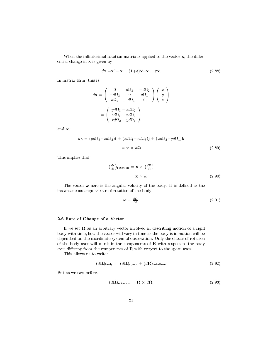When the infinitesimal rotation matrix is applied to the vector  $x$ , the differential change in x is given by

$$
d\mathbf{x} = \mathbf{x}' - \mathbf{x} = (1+\varepsilon)\mathbf{x} - \mathbf{x} = \varepsilon \mathbf{x}.
$$
 (2.88)

In matrix form, this is

$$
d\mathbf{x} = \begin{pmatrix} 0 & d\Omega_3 & -d\Omega_2 \\ -d\Omega_3 & 0 & d\Omega_1 \\ d\Omega_2 & -d\Omega_1 & 0 \end{pmatrix} \begin{pmatrix} x \\ y \\ z \end{pmatrix}
$$

$$
= \begin{pmatrix} yd\Omega_3 - zd\Omega_2 \\ zd\Omega_1 - xd\Omega_3 \\ xd\Omega_2 - yd\Omega_1 \end{pmatrix}
$$

and so

$$
d\mathbf{x} = (yd\Omega_3 - xd\Omega_2)\mathbf{i} + (zd\Omega_1 - xd\Omega_3)\mathbf{j} + (xd\Omega_2 - yd\Omega_1)\mathbf{k}
$$
  
=  $\mathbf{x} \times d\mathbf{\Omega}$  (2.89)

This implies that

$$
\left(\frac{d\mathbf{x}}{dt}\right)_{\text{rotation}} = \mathbf{x} \times \left(\frac{d\Omega}{dt}\right)
$$

$$
= \mathbf{x} \times \boldsymbol{\omega}
$$
(2.90)

The vector  $\omega$  here is the angular velocity of the body. It is defined as the instantaneous angular rate of rotation of the body,

$$
\omega = \frac{d\Omega}{dt}.\tag{2.91}
$$

#### 2.6 Rate of Change of a Vector

If we set  **as an arbitrary vector involved in describing motion of a rigid** body with time, how the vector will vary in time as the body is in motion will be dependent on the coordinate system of observation. Only the effects of rotation of the body axes will result in the components of  $\bf R$  with respect to the body axes differing from the components of  $R$  with respect to the space axes.

This allows us to write:

$$
(d\mathbf{R})body = (d\mathbf{R})space + (d\mathbf{R})rotation.
$$
 (2.92)

But as we saw before,

$$
(d\mathbf{R})_{\text{rotation}} = \mathbf{R} \times d\mathbf{\Omega}.
$$
 (2.93)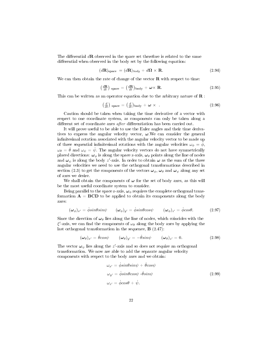The differential  $d\mathbf{R}$  observed in the space set therefore is related to the same differential when observed in the body set by the following equation:

$$
(d\mathbf{R})_{\text{space}} = (d\mathbf{R})_{body} + d\mathbf{\Omega} \times \mathbf{R}.
$$
 (2.94)

We can then obtain the rate of change of the vector  $\bf{R}$  with respect to time:

$$
\left(\frac{d\mathbf{R}}{dt}\right) \text{ space} = \left(\frac{d\mathbf{R}}{dt}\right) \text{body} + \boldsymbol{\omega} \times \mathbf{R}.\tag{2.95}
$$

This can be written as an operator equation due to the arbitrary nature of **:** 

$$
\left(\frac{d}{dt}\right) \text{ space} = \left(\frac{d}{dt}\right) \text{body} + \boldsymbol{\omega} \times \tag{2.96}
$$

Caution should be taken when taking the time derivative of a vector with respect to one coordinate system, as components can only be taken along a different set of coordinate axes after differentiation has been carried out.

It will prove useful to be able to use the Euler angles and their time derivatives to express the angular velocity vector,  $\omega$ . We can consider the general infinitesimal rotation associated with the angular velocity vector to be made up of three sequential infinitesimal rotations with the angular velocities  $\omega_{\phi} = \dot{\phi}$ ,  $\omega_{\theta} = \dot{\theta}$  and  $\omega_{\psi} = \dot{\psi}$ . The angular velocity vectors do not have symmetrically placed directions:  $\omega_{\phi}$  is along the space z-axis,  $\omega_{\theta}$  points along the line of nodes and  $\omega_{\psi}$  is along the body z'-axis. In order to obtain  $\omega$  as the sum of the three angular velocities we need to use the orthogonal transformations described in section (2.3) to get the components of the vectors  $\omega_{\phi}$ ,  $\omega_{\theta}$  and  $\omega_{\psi}$  along any set of axes we desire.

We shall obtain the components of  $\omega$  for the set of body axes, as this will be the most useful coordinate system to consider.

Being parallel to the space z-axis,  $\omega_{\phi}$  requires the complete orthogonal transformation  $A = BCD$  to be applied to obtain its components along the body axes:

$$
(\omega_{\phi})_{x'} = \dot{\phi} \sin\theta \sin\psi \qquad (\omega_{\phi})_{y'} = \dot{\phi} \sin\theta \cos\psi \qquad (\omega_{\phi})_{z'} = \dot{\phi} \cos\theta. \qquad (2.97)
$$

Since the direction of  $\omega_{\theta}$  lies along the line of nodes, which coincides with the  $\xi'$ -axis, we can find the components of  $\omega_{\theta}$  along the body axes by applying the last orthogonal transformation in the sequence, **B** (2.47):

$$
(\omega_{\theta})_{x'} = \dot{\theta} \cos \psi \qquad (\omega_{\theta})_{y'} = -\dot{\theta} \sin \psi \qquad (\omega_{\theta})_{z'} = 0. \qquad (2.98)
$$

The vector  $\boldsymbol{\omega}_{\psi}$  lies along the  $z'$ -axis and so does not require an orthogonal transformation. We now are able to add the separate angular velocity components with respect to the body axes and we obtain:

$$
\omega_{x'} = \dot{\phi} \sin \theta \sin \psi + \dot{\theta} \cos \psi
$$
  
\n
$$
\omega_{y'} = \dot{\phi} \sin \theta \cos \psi \cdot \dot{\theta} \sin \psi
$$
  
\n
$$
\omega_{z'} = \dot{\phi} \cos \theta + \dot{\psi}.
$$
  
\n(2.99)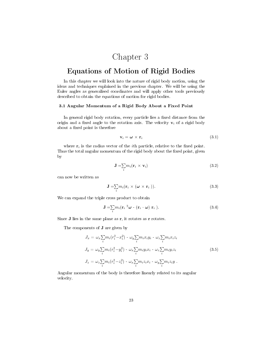## Chapter 3

### Equations of Motion of Rigid Bodies

In this chapter we will look into the nature of rigid body motion, using the ideas and techniques explained in the previous chapter. We will be using the Euler angles as generalised coordinates and will apply other tools previously described to obtain the equations of motion for rigid bodies.

#### 3.1 Angular Momentum of a Rigid Body About a Fixed Point

In general rigid body rotation, every particle lies a fixed distance from the origin and a fixed angle to the rotation axis. The velocity  $v_i$  of a rigid body about a fixed point is therefore

$$
\mathbf{v}_i = \boldsymbol{\omega} \times \mathbf{r}_i \tag{3.1}
$$

where  $r_i$  is the radius vector of the *i*th particle, relative to the fixed point. Thus the total angular momentum of the rigid body about the fixed point, given by

$$
\mathbf{J} = \sum_{i} m_i (\mathbf{r}_i \times \mathbf{v}_i) \tag{3.2}
$$

can now be written as

$$
\mathbf{J} = \sum_{i} m_i (\mathbf{r}_i \times (\boldsymbol{\omega} \times \mathbf{r}_i)). \tag{3.3}
$$

We can expand the triple cross product to obtain

$$
\mathbf{J} = \sum_{i} m_i (\mathbf{r}_i^{-2} \boldsymbol{\omega} - (\mathbf{r}_i \cdot \boldsymbol{\omega}) \mathbf{r}_i ). \tag{3.4}
$$

Since  $J$  lies in the same plane as  $r$ , it rotates as  $r$  rotates.

The components of J are given by

$$
J_x = \omega_x \sum_i m_i (r_i^2 - x_i^2) - \omega_y \sum_i m_i x_i y_i - \omega_z \sum_i m_i x_i z_i
$$
  
\n
$$
J_y = \omega_y \sum_i m_i (r_i^2 - y_i^2) - \omega_x \sum_i m_i y_i x_i - \omega_z \sum_i m_i y_i z_i
$$
  
\n
$$
J_z = \omega_z \sum_i m_i (r_i^2 - z_i^2) - \omega_x \sum_i m_i z_i x_i - \omega_y \sum_i m_i z_i y
$$
  
\n(3.5)

Angular momentum of the body is therefore linearly related to its angular velocity.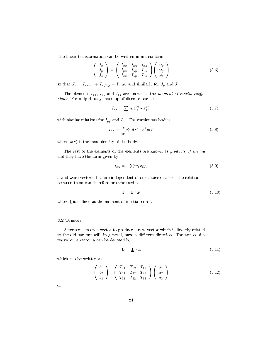The linear transformation can be written in matrix form:

$$
\begin{pmatrix} J_x \\ J_y \\ J_z \end{pmatrix} = \begin{pmatrix} I_{xx} & I_{xy} & I_{xz} \\ I_{yx} & I_{yy} & I_{yz} \\ I_{zx} & I_{zy} & I_{zz} \end{pmatrix} \begin{pmatrix} \omega_x \\ \omega_y \\ \omega_z \end{pmatrix}
$$
 (3.6)

so that  $J_x = I_{xx}\omega_x + I_{xy}\omega_y + I_{xz}\omega_z$  and similarly for  $J_y$  and  $J_z$ .

The elements  $I_{xx}$ ,  $I_{yy}$  and  $I_{zz}$  are known as the moment of inertia coefficients. For a rigid body made up of discrete particles,

$$
I_{xx} = \sum_{i} m_i (r_i^2 - x_i^2). \tag{3.7}
$$

with similar relations for  $I_{yy}$  and  $I_{zz}$ . For continuous bodies,

$$
I_{xx} = \int_{dV} \rho(r)(r^2 - x^2)dV \tag{3.8}
$$

where  $\rho(r)$  is the mass density of the body.

The rest of the elements of the elements are known as *products of inertia* and they have the form given by

$$
I_{xy} = -\sum_{i} m_i x_i y_i. \tag{3.9}
$$

**J** and  $\omega$  are vectors that are independent of our choice of axes. The relation between them can therefore be expressed as

$$
\mathbf{J} = \mathbf{\underline{I}} \cdot \boldsymbol{\omega} \tag{3.10}
$$

where  $I$  is defined as the moment of inertia tensor.

#### 3.2 Tensors

A tensor acts on a vector to produce a new vector which is linearly related to the old one but will, in general, have a different direction. The action of a tensor on a vector a can be denoted by

$$
\mathbf{b} = \mathbf{\underline{T}} \quad \mathbf{a} \tag{3.11}
$$

which can be written as

$$
\begin{pmatrix} b_1 \\ b_2 \\ b_3 \end{pmatrix} = \begin{pmatrix} T_{11} & T_{12} & T_{13} \\ T_{21} & T_{22} & T_{23} \\ T_{31} & T_{32} & T_{33} \end{pmatrix} \begin{pmatrix} a_1 \\ a_2 \\ a_3 \end{pmatrix}
$$
 (3.12)

or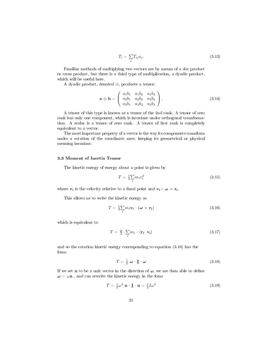$$
T_i = \sum_j T_{ij} a_j. \tag{3.13}
$$

Familiar methods of multiplying two vectors are by means of a dot product or cross product, but there is a third type of multiplication, a dyadic product, which will be useful here.

A dyadic product, denoted ⊗, produces a tensor:

$$
\mathbf{a} \otimes \mathbf{b} = \begin{pmatrix} a_1b_1 & a_1b_2 & a_1b_3 \\ a_2b_1 & a_2b_2 & a_2b_3 \\ a_3b_1 & a_3b_2 & a_3b_3 \end{pmatrix} . \tag{3.14}
$$

A tensor of this type is known as a tensor of the 2nd rank. A tensor of zero rank has only one component, which is invariant under orthogonal transformation. A scalar is a tensor of zero rank. A tensor of first rank is completely equivalent to a vector.

The most important property of a vector is the way its components transform under a rotation of the coordinate axes; keeping its geometrical or physical meaning invariant.

#### 3.3 Moment of Inertia Tensor

The kinetic energy of energy about a point is given by

$$
T = \frac{1}{2} \sum_{i} m_i v_i^2 \tag{3.15}
$$

where  $\mathbf{v}_i$  is the velocity relative to a fixed point and  $\mathbf{v}_i = \boldsymbol{\omega} \times \mathbf{r}_i$ .

This allows us to write the kinetic energy as

$$
T = \frac{1}{2} \sum_{i} m_i \mathbf{v_i} \cdot (\boldsymbol{\omega} \times \mathbf{r_i})
$$
 (3.16)

which is equivalent to

$$
T = \frac{\omega}{2} \cdot \sum_{i} m_i \cdot (\mathbf{r_i} \cdot \mathbf{v_i}) \tag{3.17}
$$

and so the rotation kinetic energy corresponding to equation (3.10) has the form:

$$
T = \frac{1}{2} \omega \cdot \mathbf{I} \cdot \omega \tag{3.18}
$$

If we set **n** to be a unit vector in the direction of  $\omega$ , we are then able to define  $\omega = \omega n$ , and can rewrite the kinetic energy in the form

$$
T = \frac{1}{2}\omega^2 \mathbf{n} \cdot \mathbf{I} \cdot \mathbf{n} = \frac{1}{2}I\omega^2 \tag{3.19}
$$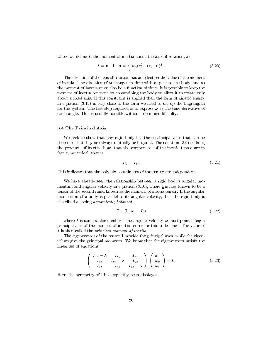where we define  $I$ , the moment of inertia about the axis of rotation, as

$$
I = \mathbf{n} \cdot \underline{\mathbf{I}} \cdot \mathbf{n} = \sum_{i} m_i (r_i^2 - (\mathbf{r_i} \cdot \mathbf{n})^2).
$$
 (3.20)

The direction of the axis of rotation has an effect on the value of the moment of inertia. The direction of  $\omega$  changes in time with respect to the body, and so the moment of inertia must also be a function of time. It is possible to keep the moment of inertia constant by constraining the body to allow it to rotate only about a fixed axis. If this constraint is applied then the form of kinetic energy in equation (3.19) is very close to the form we need to set up the Lagrangian for the system. The last step required is to express  $\omega$  as the time derivative of some angle. This is usually possible without too much difficulty.

#### 3.4 The Principal Axis

We seek to show that any rigid body has three principal axes that can be chosen so that they are always mutually orthogonal. The equation  $(3.9)$  defining the products of inertia shows that the components of the inertia tensor are in fact symmetrical, that is

$$
I_{ij} = I_{ji} \tag{3.21}
$$

This indicates that the only six coordinates of the tensor are independent.

We have already seen the relationship between a rigid body's angular momentum and angular velocity in equation  $(3.10)$ , where **I** is now known to be a tensor of the second rank, known as the moment of inertia tensor. If the angular momentum of a body is parallel to its angular velocity, then the rigid body is described as being dynamically balanced:

$$
\mathbf{J} = \mathbf{\underline{I}} \cdot \boldsymbol{\omega} = I \boldsymbol{\omega} \tag{3.22}
$$

where I is some scalar number. The angular velocity  $\omega$  must point along a principal axis of the moment of inertia tensor for this to be true. The value of I is then called the principal moment of inertia.

The eigenvectors of the tensor  $I$  provide the principal axes, while the eigenvalues give the principal moments. We know that the eigenvectors satisfy the linear set of equations:

$$
\begin{pmatrix} I_{xx} - \lambda & I_{xy} & I_{zx} \\ I_{xy} & I_{yy} - \lambda & I_{yz} \\ I_{zx} & I_{yz} & I_{zz} - \lambda \end{pmatrix} \begin{pmatrix} \omega_x \\ \omega_y \\ \omega_z \end{pmatrix} = 0.
$$
 (3.23)

Here, the symmetry of  $I$  has explicitly been displayed.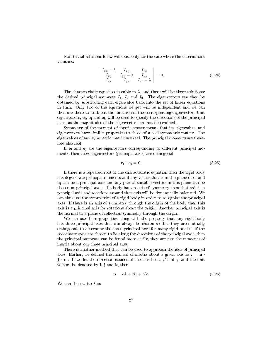Non-trivial solutions for  $\omega$  will exist only for the case where the determinant vanishes:

$$
\begin{vmatrix} I_{xx} - \lambda & I_{xy} & I_{zx} \\ I_{xy} & I_{yy} - \lambda & I_{yz} \\ I_{zx} & I_{yz} & I_{zz} - \lambda \end{vmatrix} = 0.
$$
 (3.24)

The characteristic equation is cubic in  $\lambda$ , and there will be three solutions: the desired principal moments  $I_1$ ,  $I_2$  and  $I_3$ . The eigenvectors can then be obtained by substituting each eigenvalue back into the set of linear equations in turn. Only two of the equations we get will be independent and we can then use these to work out the direction of the corresponding eigenvector. Unit eigenvectors,  $\mathbf{e_i}$ ,  $\mathbf{e_j}$  and  $\mathbf{e_k}$  will be used to specify the directions of the principal axes, as the magnitudes of the eigenvectors are not determined.

Symmetry of the moment of inertia tensor means that its eigenvalues and eigenvectors have similar properties to those of a real symmetric matrix. The eigenvalues of any symmetric matrix are real. The principal moments are therefore also real.

If  $e_i$  and  $e_j$  are the eigenvectors corresponding to different principal moments, then these eigenvectors (principal axes) are orthogonal:

$$
\mathbf{e_i} \cdot \mathbf{e_j} = 0. \tag{3.25}
$$

If there is a repeated root of the characteristic equation then the rigid body has degenerate principal moments and any vector that is in the plane of  $e_i$  and e<sup>j</sup> can be a principal axis and any pair of suitable vectors in this plane can be chosen as principal axes. If a body has an axis of symmetry then that axis is a principal axis and rotations around that axis will be dynamically balanced. We can thus use the symmetries of a rigid body in order to recognise the principal axes: If there is an axis of symmetry through the origin of the body then this axis is a principal axis for rotations about the origin. Another principal axis is the normal to a plane of reflection symmetry through the origin.

We can use these properties along with the property that any rigid body has three principal axes that can always be chosen so that they are mutually orthogonal, to determine the three principal axes for many rigid bodies. If the coordinate axes are chosen to lie along the directions of the principal axes, then the principal moments can be found more easily, they are just the moments of inertia about our three principal axes.

There is another method that can be used to approach the idea of principal axes. Earlier, we defined the moment of inertia about a given axis as  $I = n$ . **I**  $\cdot$  **n** . If we let the direction cosines of the axis be  $\alpha$ ,  $\beta$  and  $\gamma$ , and the unit vectors be denoted by  $\mathbf{i}$ ,  $\mathbf{j}$  and  $\mathbf{k}$ , then

$$
\mathbf{n} = \alpha \mathbf{i} + \beta \mathbf{j} + \gamma \mathbf{k} \tag{3.26}
$$

We can then write  $I$  as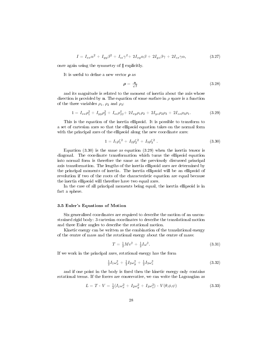$$
I = I_{xx}\alpha^2 + I_{yy}\beta^2 + I_{zz}\gamma^2 + 2I_{xy}\alpha\beta + 2I_{yz}\beta\gamma + 2I_{zx}\gamma\alpha,
$$
\n(3.27)

once again using the symmetry of  $I$  explicitly.

It is useful to define a new vector  $\rho$  as

$$
\rho = \frac{\mathbf{n}}{\sqrt{I}}\tag{3.28}
$$

and its magnitude is related to the moment of inertia about the axis whose direction is provided by **n**. The equation of some surface in  $\rho$  space is a function of the three variables  $\rho_1$ ,  $\rho_2$  and  $\rho_3$ :

$$
1 = I_{xx}\rho_1^2 + I_{yy}\rho_2^2 + I_{zz}\rho_{33}^2 + 2I_{xy}\rho_1\rho_2 + 2I_{yz}\rho_2\rho_3 + 2I_{zx}\rho_3\rho_1. \tag{3.29}
$$

This is the equation of the inertia ellipsoid. It is possible to transform to a set of cartesian axes so that the ellipsoid equation takes on the normal form with the principal axes of the ellipsoid along the new coordinate axes:

$$
1 = I_1 \rho_1^{\prime 2} + I_2 \rho_2^{\prime 2} + I_3 \rho_3^{\prime 2} \tag{3.30}
$$

Equation (3.30) is the same as equation (3.29) when the inertia tensor is diagonal. The coordinate transformation which turns the ellipsoid equation into normal form is therefore the same as the previously discussed principal axis transformation. The lengths of the inertia ellipsoid axes are determined by the principal moments of inertia. The inertia ellipsoid will be an ellipsoid of revolution if two of the roots of the characteristic equation are equal because the inertia ellipsoid will therefore have two equal axes.

In the case of all principal moments being equal, the inertia ellipsoid is in fact a sphere.

#### 3.5 Euler's Equations of Motion

Six generalised coordinates are required to describe the motion of an unconstrained rigid body: 3 cartesian coordinates to describe the translational motion and three Euler angles to describe the rotational motion.

Kinetic energy can be written as the combination of the translational energy of the centre of mass and the rotational energy about the centre of mass:

$$
T = \frac{1}{2}Mv^2 + \frac{1}{2}I\omega^2.
$$
\n(3.31)

If we work in the principal axes, rotational energy has the form

$$
\frac{1}{2}I_1\omega_x^2 + \frac{1}{2}I_2\omega_y^2 + \frac{1}{2}I_3\omega_z^2
$$
\n(3.32)

and if one point in the body is fixed then the kinetic energy only contains rotational terms. If the forces are conservative, we can write the Lagrangian as

$$
L = T - V = \frac{1}{2}(I_1\omega_x^2 + I_2\omega_y^2 + I_3\omega_z^2) - V(\theta, \phi, \psi)
$$
\n(3.33)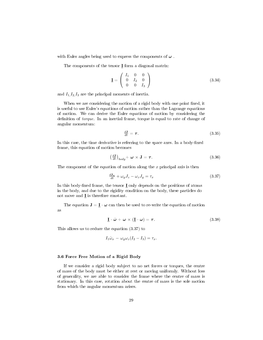with Euler angles being used to express the components of  $\omega$ .

The components of the tensor  $\underline{\mathbf{I}}$  form a diagonal matrix:

$$
\mathbf{I} = \left( \begin{array}{ccc} I_1 & 0 & 0 \\ 0 & I_2 & 0 \\ 0 & 0 & I_3 \end{array} \right) \tag{3.34}
$$

and  $I_1, I_2, I_3$  are the principal moments of inertia.

When we are considering the motion of a rigid body with one point fixed, it is useful to use Euler's equations of motion rather than the Lagrange equations of motion. We can derive the Euler equations of motion by considering the definition of *torque*. In an inertial frame, torque is equal to rate of change of angular momentum:

$$
\frac{d\mathbf{J}}{dt} = \boldsymbol{\tau}.\tag{3.35}
$$

In this case, the time derivative is referring to the space axes. In a body-fixed frame, this equation of motion becomes

$$
\left(\frac{d\mathbf{J}}{dt}\right)_{body} + \boldsymbol{\omega} \times \mathbf{J} = \boldsymbol{\tau}.
$$
\n(3.36)

The component of the equation of motion along the  $x$  principal axis is then

$$
\frac{dJ_x}{dt} + \omega_y J_z - \omega_z J_y = \tau_x \tag{3.37}
$$

In this body-fixed frame, the tensor  $I$  only depends on the positions of atoms in the body, and due to the rigidity condition on the body, these particles do not move and I is therefore constant.

The equation  $\mathbf{J} = \mathbf{I} \cdot \boldsymbol{\omega}$  can then be used to re-write the equation of motion as

$$
\underline{\mathbf{I}} \cdot \dot{\boldsymbol{\omega}} + \boldsymbol{\omega} \times (\underline{\mathbf{I}} \cdot \boldsymbol{\omega}) = \boldsymbol{\tau}.
$$
 (3.38)

This allows us to reduce the equation (3.37) to

$$
I_1\dot{\omega}_x - \omega_y \omega_z (I_2 - I_3) = \tau_x.
$$

#### 3.6 Force Free Motion of a Rigid Body

If we consider a rigid body subject to no net forces or torques, the centre of mass of the body must be either at rest or moving uniformly. Without loss of generality, we are able to consider the frame where the centre of mass is stationary. In this case, rotation about the centre of mass is the sole motion from which the angular momentum arises.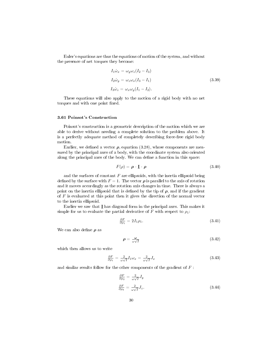Euler's equations are thus the equations of motion of the system, and without the presence of net torques they become:

$$
I_1 \dot{\omega}_x = \omega_y \omega_z (I_2 - I_3)
$$
  
\n
$$
I_2 \dot{\omega}_y = \omega_z \omega_x (I_3 - I_1)
$$
  
\n
$$
I_3 \dot{\omega}_z = \omega_x \omega_y (I_1 - I_2).
$$
\n(3.39)

These equations will also apply to the motion of a rigid body with no net torques and with one point fixed.

#### 3.61 Poinsot's Construction

Poinsot's construction is a geometric description of the motion which we are able to derive without needing a complete solution to the problem above. It is a perfectly adequate method of completely describing force-free rigid body motion.

Earlier, we defined a vector  $\rho$ , equation (3.28), whose components are measured by the principal axes of a body, with the coordinate system also oriented along the principal axes of the body. We can define a function in this space:

$$
F(\rho) = \boldsymbol{\rho} \cdot \mathbf{I} \cdot \boldsymbol{\rho} \tag{3.40}
$$

and the surfaces of constant  $F$  are ellipsoids, with the inertia ellipsoid being defined by the surface with  $F = 1$ . The vector  $\rho$  is parallel to the axis of rotation and it moves accordingly as the rotation axis changes in time. There is always a point on the inertia ellipsoid that is defined by the tip of  $\rho$ , and if the gradient of  $F$  is evaluated at this point then it gives the direction of the normal vector to the inertia ellipsoid.

Earlier we saw that  $\underline{I}$  has diagonal form in the principal axes. This makes it simple for us to evaluate the partial derivative of F with respect to  $\rho_1$ :

$$
\frac{\partial F}{\partial \rho_1} = 2I_1 \rho_1. \tag{3.41}
$$

We can also define  $\rho$  as

$$
\rho = \frac{\omega}{\omega \sqrt{I}} \tag{3.42}
$$

which then allows us to write

$$
\frac{\partial F}{\partial \rho_1} = \frac{2}{\omega \sqrt{I}} I_1 \omega_x = \frac{2}{\omega \sqrt{I}} J_x \tag{3.43}
$$

and similar results follow for the other components of the gradient of F :

$$
\frac{\partial F}{\partial \rho_2} = \frac{2}{\omega \sqrt{I}} J_y
$$
  

$$
\frac{\partial F}{\partial \rho_3} = \frac{2}{\omega \sqrt{I}} J_z.
$$
 (3.44)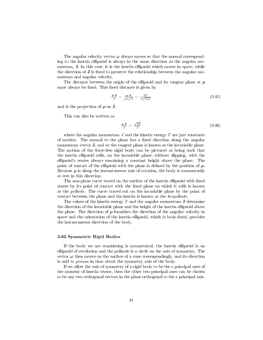The angular velocity vector  $\omega$  always moves so that the normal corresponding to the inertia ellipsoid is always in the same direction as the angular momentum, J. In this case, it is the inertia ellipsoid which moves in space, while the direction of  $J$  is fixed to preserve the relationship between the angular momentum and angular velocity.

The distance between the origin of the ellipsoid and its tangent plane at  $\rho$ must always be fixed. This fixed distance is given by

$$
\frac{\rho \cdot \mathbf{J}}{J} = \frac{\omega \cdot \mathbf{J}}{\omega J \sqrt{I}} = \frac{2T}{J \sqrt{I \omega^2}} \tag{3.45}
$$

and is the projection of  $\rho$  on **J**.

This can also be written as

$$
\frac{\rho \cdot \mathbf{J}}{J} = \frac{\sqrt{2T}}{J} \tag{3.46}
$$

where the angular momentum  $J$  and the kinetic energy  $T$  are just constants of motion. The normal to the plane has a fixed direction along the angular momentum vector J, and so the tangent plane is known as the invariable plane. The motion of the force-free rigid body can be pictured as being such that the inertia ellipsoid rolls, on the invariable plane, without slipping, with the ellipsoid's centre always remaining a constant height above the plane. The point of contact of the ellipsoid with the plane is defined by the position of  $\rho$ . Because  $\rho$  is along the instantaneous axis of rotation, the body is momentarily at rest in this direction.

The non-plane curve traced on the surface of the inertia ellipsoid with fixed centre by its point of contact with the fixed plane on which it rolls is known as the polhode. The curve traced out on the invariable plane by the point of contact between the plane and the inertia is known as the herpolhode.

The values of the kinetic energy  $T$  and the angular momentum  $J$  determine the direction of the invariable plane and the height of the inertia ellipsoid above the plane. The direction of  $\rho$  furnishes the direction of the angular velocity in space and the orientation of the inertia ellipsoid, which is body-fixed, provides the instantaneous direction of the body.

#### 3.62 Symmetric Rigid Bodies

If the body we are considering is symmetrical, the inertia ellipsoid is an ellipsoid of revolution and the polhode is a circle on the axis of symmetry. The vector  $\omega$  then moves on the surface of a cone correspondingly, and its direction is said to precess in time about the symmetry axis of the body.

If we allow the axis of symmetry of a rigid body to be the z principal axes of the moment of inertia tensor, then the other two principal axes can be chosen to be any two orthogonal vectors in the plane orthogonal to the z principal axis.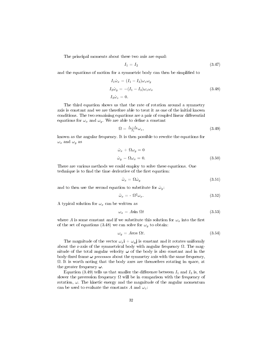The principal moments about these two axis are equal:

$$
I_1 = I_2 \tag{3.47}
$$

and the equations of motion for a symmetric body can then be simplified to

$$
I_1 \dot{\omega}_x = (I_1 - I_3)\omega_z \omega_y
$$
  
\n
$$
I_2 \dot{\omega}_y = -(I_1 - I_3)\omega_z \omega_x
$$
  
\n
$$
I_3 \dot{\omega}_z = 0.
$$
\n(3.48)

The third equation shows us that the rate of rotation around a symmetry axis is constant and we are therefore able to treat it as one of the initial known conditions. The two remaining equations are a pair of coupled linear differential equations for  $\omega_x$  and  $\omega_y$ . We are able to define a constant

$$
\Omega = \frac{I_1 - I_3}{I_1} \omega_z,\tag{3.49}
$$

known as the angular frequency. It is then possible to rewrite the equations for  $\omega_x$  and  $\omega_y$  as

$$
\begin{aligned}\n\dot{\omega}_x + \Omega \omega_y &= 0\\ \n\dot{\omega}_y - \Omega \omega_x &= 0.\n\end{aligned} \tag{3.50}
$$

There are various methods we could employ to solve these equations. One technique is to find the time derivative of the first equation:

$$
\ddot{\omega}_x = \Omega \dot{\omega}_y \tag{3.51}
$$

and to then use the second equation to substitute for  $\dot{\omega}_y$ :

$$
\ddot{\omega}_x = -\Omega^2 \omega_x. \tag{3.52}
$$

A typical solution for  $\omega_x$  can be written as

$$
\omega_x = A \sin \Omega t \tag{3.53}
$$

where A is some constant and if we substitute this solution for  $\omega_x$  into the first of the set of equations (3.48) we can solve for  $\omega_y$  to obtain:

$$
\omega_y = A \cos \Omega t. \tag{3.54}
$$

The magnitude of the vector  $\omega_x$ **i** +  $\omega_y$ **j** is constant and it rotates uniformly about the z-axis of the symmetrical body with angular frequency  $\Omega$ . The magnitude of the total angular velocity  $\omega$  of the body is also constant and in the body-fixed frame  $\omega$  precesses about the symmetry axis with the same frequency,  $\Omega$ . It is worth noting that the body axes are themselves rotating in space, at the greater frequency  $\omega$ .

Equation (3.49) tells us that smaller the difference between  $I_1$  and  $I_3$  is, the slower the precession frequency  $\Omega$  will be in comparison with the frequency of rotation,  $\omega$ . The kinetic energy and the magnitude of the angular momentum can be used to evaluate the constants A and  $\omega_z$ :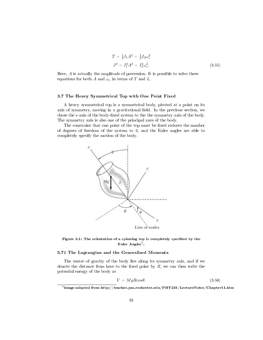$$
T = \frac{1}{2}I_1A^2 + \frac{1}{2}I_3\omega_z^2
$$
  

$$
J^2 = I_1^2A^2 + I_3^2\omega_z^2.
$$
 (3.55)

Here,  $\vec{A}$  is actually the amplitude of precession. It is possible to solve these equations for both A and  $\omega_z$  in terms of T and L.

#### 3.7 The Heavy Symmetrical Top with One Point Fixed

A heavy symmetrical top is a symmetrical body, pivoted at a point on its axis of symmetry, moving in a gravitational field. In the previous section, we chose the z-axis of the body-fixed system to the the symmetry axis of the body. The symmetry axis is also one of the principal axes of the body.

The constraint that one point of the top must be fixed reduces the number of degrees of freedom of the system to 3, and the Euler angles are able to completely specify the motion of the body.





#### 5.71 The Lagrangian and the Generalised Momenta

The centre of gravity of the body lies along its symmetry axis, and if we denote the distance from here to the fixed point by  $R$ , we can then write the potential energy of the body as

$$
V = MgRcos\theta. \tag{3.56}
$$

 $^5$ image adapted from http://teacher.pas.rochester.edu/PHY235/LectureNotes/Chapter11.htm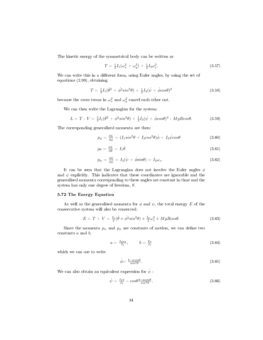The kinetic energy of the symmetrical body can be written as

$$
T = \frac{1}{2}I_1(\omega_x^2 + \omega_y^2) + \frac{1}{2}I_3\omega_z^2.
$$
\n(3.57)

We can write this in a different form, using Euler angles, by using the set of equations (2.99), obtaining

$$
T = \frac{1}{2}I_1(\dot{\theta}^2 + \dot{\phi}^2 \sin^2 \theta) + \frac{1}{2}I_3(\dot{\psi} + \dot{\phi} \cos \theta)^2 \tag{3.58}
$$

because the cross terms in  $\omega_x^2$  and  $\omega_y^2$  cancel each other out.

We can then write the Lagrangian for the system:

$$
L = T - V = \frac{1}{2}I_1(\dot{\theta}^2 + \dot{\phi}^2 \sin^2 \theta) + \frac{1}{2}I_3(\dot{\psi} + \dot{\phi} \cos \theta)^2 - MgR \cos \theta.
$$
 (3.59)

The corresponding generalized momenta are then:

$$
p_{\phi} = \frac{\partial L}{\partial \dot{\phi}} = (I_1 sin^2 \theta + I_3 cos^2 \theta) \dot{\phi} + I_3 \dot{\psi} cos \theta \tag{3.60}
$$

$$
p_{\theta} = \frac{\partial L}{\partial \dot{\theta}} = I_1 \dot{\theta} \tag{3.61}
$$

$$
p_{\psi} = \frac{\partial L}{\partial \psi} = I_3(\psi + \dot{\phi}\cos\theta) = I_3\omega_z.
$$
 (3.62)

It can be seen that the Lagrangian does not involve the Euler angles  $\phi$ and  $\psi$  explicitly. This indicates that these coordinates are ignorable and the generalised momenta corresponding to these angles are constant in time and the system has only one degree of freedom,  $\theta$ .

#### 5.72 The Energy Equation

As well as the generalised momenta for  $\phi$  and  $\psi$ , the total energy E of the conservative system will also be conserved:

$$
E = T + V = \frac{I_1}{2}(\dot{\theta} + \dot{\phi}^2 \sin^2 \theta) + \frac{I_3}{2}\omega_z^2 + MgR\cos\theta.
$$
 (3.63)

Since the momenta  $p_{\psi}$  and  $p_{\phi}$  are constants of motion, we can define two constants a and b,

$$
a = \frac{I_3 \omega_3}{I_1}, \qquad b = \frac{p_\phi}{I_1} \tag{3.64}
$$

which we can use to write

$$
\phi = \frac{b - a \cos \theta}{\sin^2 \theta}.
$$
\n(3.65)

We can also obtain an equivalent expression for  $\dot{\psi}$ :

$$
\dot{\psi} = \frac{I_1 a}{I_3} - \cos\theta \frac{b - a \cos\theta}{\sin^2 \theta}.
$$
\n(3.66)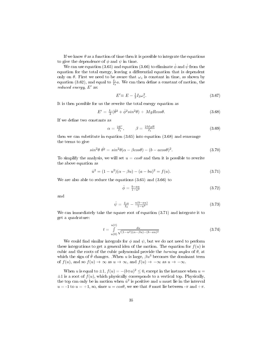If we know  $\theta$  as a function of time then it is possible to integrate the equations to give the dependence of  $\phi$  and  $\psi$  in time.

We can use equation (3.65) and equation (3.66) to eliminate  $\dot{\phi}$  and  $\dot{\psi}$  from the equation for the total energy, leaving a differential equation that is dependent only on  $\theta$ . First we need to be aware that  $\omega_z$  is constant in time, as shown by equation (3.62), and equal to  $\frac{I_1}{I_3}a$ . We can then define a constant of motion, the reduced energy,  $E'$  as:

$$
E' \equiv E - \frac{1}{2} I_3 \omega_z^2. \tag{3.67}
$$

It is then possible for us the rewrite the total energy equation as

$$
E' = \frac{I_1}{2}(\dot{\theta}^2 + \dot{\phi}^2 \sin^2 \theta) + MgR \cos \theta. \tag{3.68}
$$

If we define two constants as

$$
\alpha = \frac{2E'}{I_1}, \qquad \beta = \frac{2MgR}{I_1} \tag{3.69}
$$

then we can substitute in equation (3.65) into equation (3.68) and rearrange the terms to give

$$
\sin^2 \theta \, \dot{\theta}^2 = \sin^2 \theta (\alpha - \beta \cos \theta) - (b - a \cos \theta)^2. \tag{3.70}
$$

To simplify the analysis, we will set  $u = cos\theta$  and then it is possible to rewrite the above equation as

$$
\dot{u}^2 = (1 - u^2)(\alpha - \beta u) - (a - bu)^2 = f(u). \tag{3.71}
$$

We are also able to reduce the equations (3.65) and (3.66) to

$$
\dot{\phi} = \frac{b - au}{1 - u^2} \tag{3.72}
$$

and

$$
\dot{\psi} = \frac{I_1 a}{I_3} - \frac{u(b - au)}{1 - u^2} \tag{3.73}
$$

We can immediately take the square root of equation (3.71) and integrate it to get a quadrature:

$$
t = \int_{u(0)}^{u(t)} \frac{du}{\sqrt{(1 - u^2)(\alpha - \beta u) - (b - au)^2}}\tag{3.74}
$$

We could find similar integrals for  $\phi$  and  $\psi$ , but we do not need to perform these integrations to get a general idea of the motion. The equation for  $f(u)$  is cubic and the roots of the cubic polynomial provide the turning angles of  $\theta$ , at which the sign of  $\dot{\theta}$  changes. .When u is large,  $\beta u^3$  becomes the dominant term of  $f(u)$ , and so  $f(u) \to \infty$  as  $u \to \infty$ , and  $f(u) \to -\infty$  as  $u \to -\infty$ .

When u is equal to  $\pm 1$ ,  $f(u) = -(b \mp a)^2 \leq 0$ , except in the instance when  $u =$  $\pm 1$  is a root of  $f(u)$ , which physically corresponds to a vertical top. Physically, the top can only be in motion when  $\dot{u}^2$  is positive and u must lie in the interval  $u = -1$  to  $u = +1$ , so, since  $u = cos\theta$ , we see that  $\theta$  must lie between  $-\pi$  and  $+\pi$ .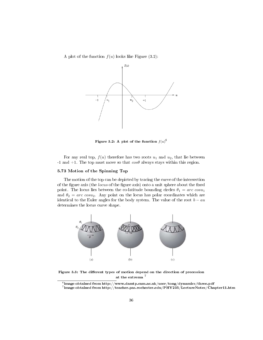A plot of the function  $f(u)$  looks like Figure (3.2):



Figure 3.2: A plot of the function  $f(u)^6$ 

For any real top,  $f(u)$  therefore has two roots  $u_1$  and  $u_2$ , that lie between -1 and +1. The top must move so that  $\cos\theta$  always stays within this region.

#### 5.73 Motion of the Spinning Top

The motion of the top can be depicted by tracing the curve of the intersection of the figure axis (the locus of the figure axis) onto a unit sphere about the fixed point. The locus lies between the co-latitude bounding circles  $\theta_1 = \arccos u_1$ and  $\theta_2 = \text{arc } \cos u_2$ . Any point on the locus has polar coordinates which are identical to the Euler angles for the body system. The value of the root  $b - au$ determines the locus curve shape.



Figure 3.3: The different types of motion depend on the direction of precession at the extrema<sup>7</sup>

 $^6$ image obtained from http://www.damtp.cam.ac.uk/user/tong/dynamics/three.pdf

 $^7$ image obtained from http://teacher.pas.rochester.edu/PHY235/LectureNotes/Chapter11.htm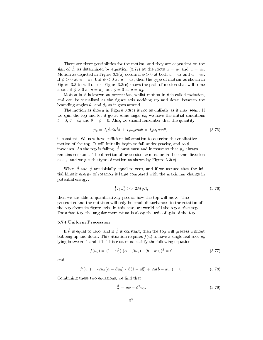There are three possibilities for the motion, and they are dependent on the sign of  $\dot{\phi}$ , as determined by equation (3.72) at the roots  $u = u_1$  and  $u = u_2$ . Motion as depicted in Figure 3.3(a) occurs if  $\dot{\phi} > 0$  at both  $u = u_1$  and  $u = u_2$ . If  $\phi > 0$  at  $u = u_1$ , but  $\phi < 0$  at  $u = u_2$ , then the type of motion as shown in Figure 3.3(b) will occur. Figure 3.3(c) shows the path of motion that will come about if  $\phi > 0$  at  $u = u_1$ , but  $\phi = 0$  at  $u = u_2$ .

Motion in  $\phi$  is known as *precession*, whilst motion in  $\theta$  is called *nutation*, and can be visualised as the figure axis nodding up and down between the bounding angles  $\theta_1$  and  $\theta_2$  as it goes around.

The motion as shown in Figure  $3.3(c)$  is not as unlikely as it may seem. If we spin the top and let it go at some angle  $\theta_0$ , we have the initial conditions  $t = 0, \theta = \theta_0$  and  $\dot{\theta} = \dot{\phi} = 0$ . Also, we should remember that the quantity

$$
p_{\phi} = I_1 \dot{\phi} \sin^2 \theta + I_3 \omega_z \cos \theta = I_3 \omega_z \cos \theta_0 \tag{3.75}
$$

is constant. We now have sufficient information to describe the qualitative motion of the top. It will initially begin to fall under gravity, and so  $\theta$ increases. As the top is falling,  $\dot{\phi}$  must turn and increase so that  $p_{\phi}$  always remains constant. The direction of precession,  $\dot{\phi}$  must be in the same direction as  $\omega_z$ , and we get the type of motion as shown by Figure 3.3(c).

When  $\dot{\theta}$  and  $\dot{\phi}$  are initially equal to zero, and if we assume that the initial kinetic energy of rotation is large compared with the maximum change in potential energy:

$$
\frac{1}{2}I_3\omega_z^2 \gg 2MgR,\tag{3.76}
$$

then we are able to quantitatively predict how the top will move. The precession and the nutation will only be small disturbances to the rotation of the top about its figure axis. In this case, we would call the top a "fast top". For a fast top, the angular momentum is along the axis of spin of the top.

#### 5.74 Uniform Precession

If  $\dot{\theta}$  is equal to zero, and if  $\dot{\phi}$  is constant, then the top will precess without bobbing up and down. This situation requires  $f(u)$  to have a single real root  $u_0$ lying between  $-1$  and  $+1$ . This root must satisfy the following equations:

$$
f(u_0) = (1 - u_0^2) (\alpha - \beta u_0) - (b - au_0)^2 = 0
$$
\n(3.77)

and

$$
f'(u_0) = -2u_0(\alpha - \beta u_0) - \beta(1 - u_0^2) + 2a(b - au_0) = 0.
$$
 (3.78)

Combining these two equations, we find that

$$
\frac{\beta}{2} = a\dot{\phi} - \dot{\phi}^2 u_0. \tag{3.79}
$$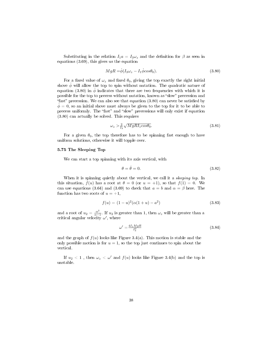Substituting in the relation  $I_1a = I_3\omega_z$  and the definition for  $\beta$  as seen in equations (3.69), this gives us the equation

$$
MgR = \dot{\phi}(I_3\omega_z - I_1\dot{\phi}cos\theta_0). \tag{3.80}
$$

For a fixed value of  $\omega_z$  and fixed  $\theta_0$ , giving the top exactly the right initial shove  $\dot{\phi}$  will allow the top to spin without nutation. The quadratic nature of equation (3.80) in  $\dot{\phi}$  indicates that there are two frequencies with which it is possible for the top to precess without nutation, known as "slow" precession and "fast" precession. We can also see that equation  $(3.80)$  can never be satisfied by  $\phi = 0$ , so an initial shove must always be given to the top for it to be able to precess uniformly. The "fast" and "slow" precessions will only exist if equation (3.80) can actually be solved. This requires

$$
\omega_z > \frac{2}{I_3} \sqrt{MgRI_1 \cos \theta_0}.\tag{3.81}
$$

For a given  $\theta_0$ , the top therefore has to be spinning fast enough to have uniform solutions, otherwise it will topple over.

#### 5.75 The Sleeping Top

We can start a top spinning with its axis vertical, with

$$
\theta = \dot{\theta} = 0. \tag{3.82}
$$

When it is spinning quietly about the vertical, we call it a *sleeping top*. In this situation,  $f(u)$  has a root at  $\theta = 0$  (or  $u = +1$ ), so that  $f(1) = 0$ . We can use equations (3.64) and (3.69) to check that  $a = b$  and  $\alpha = \beta$  here. The function has two roots of  $u = +1$ ,

$$
f(u) = (1 - u)^2 (\alpha (1 + u) - a^2)
$$
\n(3.83)

and a root of  $u_2 = \frac{\alpha^2}{\alpha - \alpha}$  $\frac{\alpha}{\alpha-1}$ . If  $u_2$  is greater than 1, then  $\omega_z$  will be greater than a critical angular velocity  $\omega'$ , where

$$
\omega' = \frac{4I_1 MgR}{I_3^2} \tag{3.84}
$$

and the graph of  $f(u)$  looks like Figure 3.4(a). This motion is stable and the only possible motion is for  $u = 1$ , so the top just continues to spin about the vertical.

If  $u_2 < 1$  , then  $\omega_z < \omega'$  and  $f(u)$  looks like Figure 3.4(b) and the top is unstable.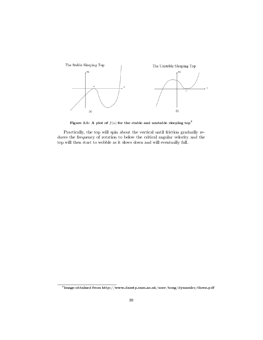

Figure 3.5: A plot of  $f(u)$  for the stable and unstable sleeping top<sup>8</sup>

Practically, the top will spin about the vertical until friction gradually reduces the frequency of rotation to below the critical angular velocity and the top will then start to wobble as it slows down and will eventually fall.

 $^8$ image obtained from http://www.damtp.cam.ac.uk/user/tong/dynamics/three.pdf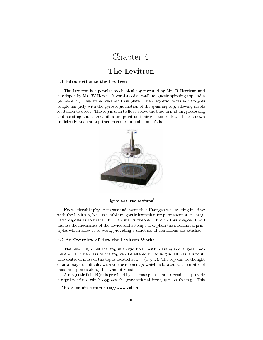## Chapter 4

### The Levitron

#### 4.1 Introduction to the Levitron

The Levitron is a popular mechanical toy invented by Mr. R Harrigan and developed by Mr. W Hones. It consists of a small, magnetic spinning top and a permanently magnetized ceramic base plate. The magnetic forces and torques couple uniquely with the gyroscopic motion of the spinning top, allowing stable levitation to occur. The top is seen to float above the base in mid-air, precessing and nutating about an equilibrium point until air resistance slows the top down sufficiently and the top then becomes unstable and falls.



Figure 4.1: The Levitron<sup>9</sup>

Knowledgeable physicists were adamant that Harrigan was wasting his time with the Levitron, because stable magnetic levitation for permanent static magnetic dipoles is forbidden by Earnshaw's theorem, but in this chapter I will discuss the mechanics of the device and attempt to explain the mechanical principles which allow it to work, providing a strict set of conditions are satisfied.

#### 4.2 An Overview of How the Levitron Works

The heavy, symmetrical top is a rigid body, with mass  $m$  and angular momentum J. The mass of the top can be altered by adding small washers to it. The centre of mass of the top is located at  $\mathbf{r} = (x, y, z)$ . The top can be thought of as a magnetic dipole, with vector moment  $\mu$  which is located at the centre of mass and points along the symmetry axis.

A magnetic field  $B(r)$  is provided by the base plate, and its gradients provide a repulsive force which opposes the gravitational force, mg, on the top. This

 $^9$ image obtained from http://www.vnix.nl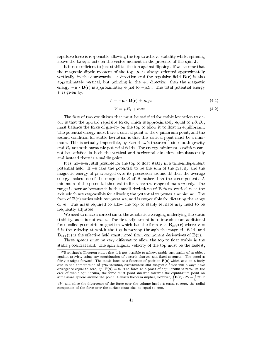repulsive force is responsible allowing the top to achieve stability whilst spinning above the base; it acts on the vector moment in the presence of the spin J.

It is not sufficient to just stabilize the top against flipping. If we assume that the magnetic dipole moment of the top,  $\mu$ , is always oriented approximately vertically, in the downwards  $-z$  direction and the repulsive field  $B(r)$  is also approximately vertical, but pointing in the  $+z$  direction, then the magnetic energy  $-\mu \cdot \mathbf{B}(\mathbf{r})$  is approximately equal to  $-\mu B_z$ . The total potential energy  $V$  is given by:

$$
V = -\mu \cdot \mathbf{B}(\mathbf{r}) + mgz \tag{4.1}
$$

$$
V = \mu B_z + mgz \tag{4.2}
$$

The first of two conditions that must be satisfied for stable levitation to occur is that the upward repulsive force, which is approximately equal to  $\mu \partial_z B_z$ , must balance the force of gravity on the top to allow it to float in equilibrium. The potential energy must have a critical point at the equilibrium point, and the second condition for stable levitation is that this critical point must be a minimum. This is actually impossible, by Earnshaw's theorem<sup>10</sup> since both gravity and  $B<sub>z</sub>$  are both harmonic potential fields. The energy minimum condition cannot be satisfied in both the vertical and horizontal directions simultaneously and instead there is a saddle point.

It is, however, still possible for the top to float stably in a time-independent potential field. If we take the potential to be the sum of the gravity and the magnetic energy of  $\mu$  averaged over its precession around **B** then the average energy makes use of the magnitude  $B$  of  $\bf{B}$  rather than the z-component. A minimum of the potential then exists for a narrow range of mass  $m$  only. The range is narrow because it is the small deviations of B from vertical near the axis which are responsible for allowing the potential to posses a minimum. The form of  $B(r)$  varies with temperature, and is responsible for dictating the range of m. The mass required to allow the top to stably levitate may need to be frequently adjusted.

We need to make a correction to the adiabatic averaging underlying the static stability, as it is not exact. The first adjustment is to introduce an additional force called geometric magnetism which has the form  $\mathbf{v} \times \mathbf{B}_{eff}(\mathbf{r})$  where  $\mathbf{v} =$  $\dot{\mathbf{r}}$  is the velocity at which the top is moving through the magnetic field, and  $\mathbf{B}_{eff}(\mathbf{r})$  is the effective field constructed from component derivatives of  $\mathbf{B}(\mathbf{r})$ .

Three speeds must be very different to allow the top to float stably in the static potential field. The spin angular velocity of the top must be the fastest,

 $10$ Earnshaw's Theorem states that it is not possible to achieve stable suspension of an object against gravity, using any combination of electric charges and fixed magnets. The proof is fairly straight forward: The static force as a function of position  $F(x)$  which acts on a body due to the combination of gravitational, electrostatic and magnetic fields will always have divergence equal to zero,  $\nabla \cdot \mathbf{F}(\mathbf{x}) = 0$ . The force at a point of equilibrium is zero. In the case of stable equilibrium, the force must point inwards towards the equilibrium point on some small sphere around the point. Gauss's theorem implies, however,  $\int \mathbf{F}(\mathbf{x}) \cdot dS = \int \nabla \cdot \mathbf{F}$ 

 $dV$ , and since the divergence of the force over the volume inside is equal to zero, the radial component of the force over the surface must also be equal to zero.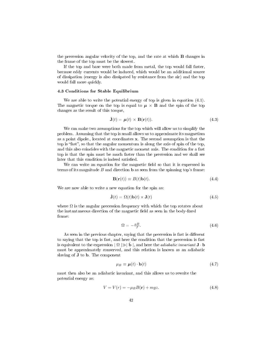the precession angular velocity of the top, and the rate at which B changes in the frame of the top must be the slowest.

If the top and base were both made from metal, the top would fall faster, because eddy currents would be induced, which would be an additional source of dissipation (energy is also dissipated by resistance from the air) and the top would fall more quickly.

#### 4.3 Conditions for Stable Equilibrium

We are able to write the potential energy of top is given in equation (4.1). The magnetic torque on the top is equal to  $\mu \times B$  and the spin of the top changes as the result of this torque,

$$
\dot{\mathbf{J}}(t) = \boldsymbol{\mu}(t) \times \mathbf{B}(\mathbf{r}(t)). \tag{4.3}
$$

We can make two assumptions for the top which will allow us to simplify the problem. Assuming that the top is small allows us to approximate its magnetism as a point dipole., located at coordinates x. The second assumption is that the top is "fast", so that the angular momentum is along the axis of spin of the top, and this also coincides with the magnetic moment axis. The condition for a fast top is that the spin must be much faster than the precession and we shall see later that this condition is indeed satisfied.

We can write an equation for the magnetic field so that it is expressed in terms of its magnitude  $B$  and direction **b** as seen from the spinning top's frame:

$$
\mathbf{B}(\mathbf{r}(t)) \equiv B(t)\mathbf{b}(t). \tag{4.4}
$$

We are now able to write a new equation for the spin as:

$$
\dot{\mathbf{J}}(t) = \Omega(t)\mathbf{b}(t) \times \mathbf{J}(t) \tag{4.5}
$$

where  $\Omega$  is the angular precession frequency with which the top rotates about the instantaneous direction of the magnetic field as seen in the body-fixed frame:

$$
\Omega = -\frac{\mu B}{J} \tag{4.6}
$$

As seen in the previous chapter, saying that the precession is fast is different to saying that the top is fast, and here the condition that the precession is fast is equivalent to the expression  $|\Omega| \gg |\dot{\mathbf{b}}|$ , and here the *adiabatic invariant* **J**  $\cdot$  **b** must be approximately conserved, and this relation is known as an adiabatic slaving of J to b. The component

$$
\mu_B \equiv \mu(t) \cdot \mathbf{b}(t) \tag{4.7}
$$

must then also be an adiabatic invariant, and this allows us to rewrite the potential energy as:

$$
V = V(r) = -\mu_B B(\mathbf{r}) + mgz.
$$
\n(4.8)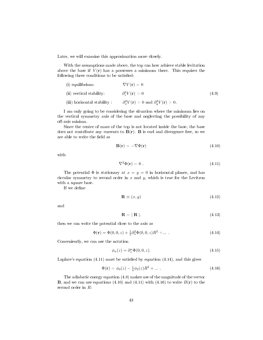Later, we will examine this approximation more closely.

With the assumptions made above, the top can how achieve stable levitation above the base if  $V(\mathbf{r})$  has a possesses a minimum there. This requires the following three conditions to be satisfied:

| $(i)$ equilibrium:          | $\nabla V(\mathbf{r})=0$                                                |       |
|-----------------------------|-------------------------------------------------------------------------|-------|
| (ii) vertical stability:    | $\partial_z^2 V({\bf r}) > 0$                                           | (4.9) |
| (iii) horizontal stability: | $\partial_x^2 V(\mathbf{r}) > 0$ and $\partial_y^2 V(\mathbf{r}) > 0$ . |       |

I am only going to be considering the situation where the minimum lies on the vertical symmetry axis of the base and neglecting the possibility of any off-axis minima.

Since the centre of mass of the top is not located inside the base, the base does not contribute any currents to  $B(r)$ . B is curl and divergence free, so we are able to write the field as

$$
\mathbf{B}(\mathbf{r}) = -\nabla \Phi(\mathbf{r})\tag{4.10}
$$

with

$$
\nabla^2 \Phi(\mathbf{r}) = 0 \tag{4.11}
$$

The potential  $\Phi$  is stationary at  $x = y = 0$  in horizontal planes, and has circular symmetry to second order in  $x$  and  $y$ , which is true for the Levitron with a square base.

If we define

$$
\mathbf{R} \equiv (x, y) \tag{4.12}
$$

and

$$
\mathbf{R} = |\mathbf{R}|.\tag{4.13}
$$

then we can write the potential close to the axis as

$$
\Phi(\mathbf{r}) = \Phi(0, 0, z) + \frac{1}{2} \partial_x^2 \Phi(0, 0, z) R^2 + \dots \tag{4.14}
$$

Conveniently, we can use the notation

$$
\phi_n(z) = \partial_z^n \Phi(0, 0, z). \tag{4.15}
$$

Laplace's equation  $(4.11)$  must be satisfied by equation  $(4.14)$ , and this gives

$$
\Phi(\mathbf{r}) = \phi_0(z) - \frac{1}{4}\phi_2(z)R^2 + \dots \tag{4.16}
$$

The adiabatic energy equation (4.8) makes use of the magnitude of the vector **B**, and we can use equations (4.10) and (4.11) with (4.16) to write  $B(\mathbf{r})$  to the second order in R: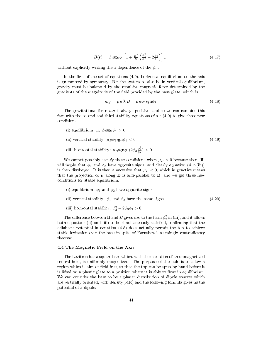$$
B(\mathbf{r}) = \phi_1 \text{sgn}\phi_1 \left[ 1 + \frac{R^2}{8} \left( \frac{\phi_2^2}{\phi_1^2} - 2\frac{\phi_3}{\phi_1} \right) \right] \dots, \tag{4.17}
$$

without explicitly writing the z dependence of the  $\phi_n$ .

In the first of the set of equations  $(4.9)$ , horizontal equilibrium on the axis is guaranteed by symmetry. For the system to also be in vertical equilibrium, gravity must be balanced by the repulsive magnetic force determined by the gradients of the magnitude of the field provided by the base plate, which is

$$
mg = \mu_B \partial_z B = \mu_B \phi_2 \text{sgn}\phi_1. \tag{4.18}
$$

The gravitational force  $mg$  is always positive, and so we can combine this fact with the second and third stability equations of set (4.9) to give three new conditions:

- (i) equilibrium:  $\mu_B \phi_2 sgn \phi_1 > 0$
- (ii) vertical stability:  $\mu_B \phi_3$ sgn $\phi_1 < 0$  (4.19)
- (iii) horizontal stability:  $\mu_B sgn\phi_1(2\phi_3 \frac{\phi_2^2}{\phi_1}) > 0$ .

We cannot possibly satisfy these conditions when  $\mu_B > 0$  because then (ii) will imply that  $\phi_1$  and  $\phi_3$  have opposite signs, and clearly equation (4.19(iii)) is then disobeyed. It is then a necessity that  $\mu_B < 0$ , which in practice means that the projection of  $\mu$  along **B** is anti-parallel to **B**, and we get three new conditions for stable equilibrium:

- (i) equilibrium:  $\phi_1$  and  $\phi_2$  have opposite signs
- (ii) vertical stability:  $\phi_1$  and  $\phi_3$  have the same signs (4.20)
- (iii) horizontal stability:  $\phi_2^2 2\phi_3 \phi_1 > 0$ .

The difference between  ${\bf B}$  and  $B$  gives rise to the term  $\phi_2^2$  in (iii), and it allows both equations (ii) and (iii) to be simultaneously satisfied, confirming that the adiabatic potential in equation (4.8) does actually permit the top to achieve stable levitation over the base in spite of Earnshaw's seemingly contradictory theorem.

#### 4.4 The Magnetic Field on the Axis

The Levitron has a square base which, with the exception of an unmagnetized central hole, is uniformly magnetized. The purpose of the hole is to allow a region which is almost field-free, so that the top can be spun by hand before it is lifted on a plastic plate to a position where it is able to float in equilibrium. We can consider the base to be a planar distribution of dipole sources which are vertically oriented, with density  $\rho(\mathbf{R})$  and the following formula gives us the potential of a dipole: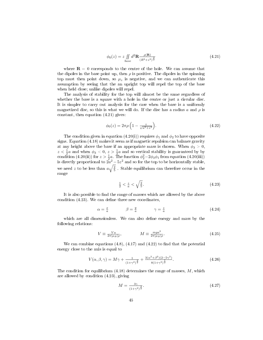$$
\phi_0(z) = z \iint\limits_{base} d^2 \mathbf{R} \frac{\rho(\mathbf{R})}{(R^2 + z^2)^{\frac{3}{2}}} \tag{4.21}
$$

where  $\mathbf{R} = 0$  corresponds to the centre of the hole. We can assume that the dipoles in the base point up, then  $\rho$  is positive. The dipoles in the spinning top must then point down, so  $\mu_z$  is negative, and we can authenticate this assumption by seeing that the an upright top will repel the top of the base when held close; unlike dipoles will repel.

The analysis of stability for the top will almost be the same regardless of whether the base is a square with a hole in the centre or just a circular disc. It is simpler to carry out analysis for the case when the base is a uniformly magnetized disc, so this is what we will do. If the disc has a radius a and  $\rho$  is constant, then equation (4.21) gives:

$$
\phi_0(z) = 2\pi \rho \left( 1 - \frac{z}{\sqrt{a^2 + z^2}} \right). \tag{4.22}
$$

The condition given in equation (4.20(i)) requires  $\phi_1$  and  $\phi_2$  to have opposite signs. Equation (4.18) makes it seem as if magnetic repulsion can balance gravity at any height above the base if an appropriate mass is chosen. When  $\phi_3 > 0$ ,  $z < \frac{1}{2}a$  and when  $\phi_3 < 0$ ,  $z > \frac{1}{2}a$  and so vertical stability is guaranteed by by condition (4.20(ii)) for  $z > \frac{1}{2}a$ . The function  $\phi_2^2 - 2\phi_3\phi_1$  from equation (4.20(iii)) is directly proportional to  $2a^2 - 5z^2$  and so for the top to be horizontally stable, we need z to be less than  $a\sqrt{\frac{2}{5}}$ . Stable equilibrium can therefore occur in the range

$$
\frac{1}{2} < \frac{z}{a} < \sqrt{\frac{2}{5}}.\tag{4.23}
$$

It is also possible to find the range of masses which are allowed by the above condition  $(4.23)$ . We can define three new coordinates,

$$
\alpha = \frac{x}{a} \qquad \beta = \frac{y}{a} \qquad \gamma = \frac{z}{a} \tag{4.24}
$$

which are all dimensionless. We can also define energy and mass by the following relations:

$$
V \equiv \frac{V_a}{2\pi|\mu_B|\rho}, \qquad M \equiv \frac{mga^2}{2\pi|\mu_B|\rho}.
$$
 (4.25)

We can combine equations  $(4.8)$ ,  $(4.17)$  and  $(4.22)$  to find that the potential energy close to the axis is equal to

$$
V(\alpha, \beta, \gamma) = M\gamma + \frac{1}{(1+\gamma^2)^{\frac{3}{2}}} + \frac{3(\alpha^2+\beta^2)(2-5\gamma^2)}{8(1+\gamma^2)^{\frac{7}{2}}}.
$$
\n(4.26)

The condition for equilibrium  $(4.18)$  determines the range of masses, M, which are allowed by condition (4.23), giving

$$
M = \frac{3\gamma}{(1+\gamma^2)^{\frac{3}{2}}}.\tag{4.27}
$$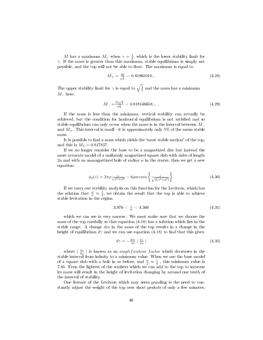M has a maximum  $M_+$  when  $\gamma = \frac{1}{2}$ , which is the lower stability limit for  $\gamma$ . If the mass is greater than this maximum, stable equilibrium is simply not possible, and the top will not be able to float. The maximum is equal to

$$
M_{+} = \frac{48}{5^{\frac{5}{2}}} = 0.85865010...
$$
 (4.28)

The upper stability limit for  $\gamma$  is equal to  $\sqrt{\frac{2}{5}}$  and the mass has a minimum  $M_-\text{ here:}$ 

$$
M_{-} = \frac{75\sqrt{2}}{7^{\frac{5}{2}}} = 0.818146658...
$$
 (4.29)

If the mass is less than the minimum, vertical stability can actually be achieved, but the condition for horizontal equilibrium is not satisfied and so stable equilibrium can only occur when the mass is in the interval between  $M_-\$ and  $M_{+}$ . This interval is small - it is approximately only 5% of the mean stable mass.

It is possible to find a mass which yields the "most stable motion" of the top, and this is  $M_S = 0.847837$ .

If we no longer consider the base to be a magnetized disc but instead the more accurate model of a uniformly magnetized square slab with sides of length  $2a$  and with an unmagnetized hole of radius w in the centre, then we get a new equation:

$$
\phi_0(z) = 2\pi \rho \frac{z}{\sqrt{z^2 + w^2}} - 8\rho \arcsin\left\{\frac{z}{\sqrt{2(z^2 + a^2)}}\right\}.
$$
\n(4.30)

If we carry out stability analysis on this function for the Levitron, which has the relation that  $\frac{w}{a} \approx \frac{1}{4}$ , we obtain the result that the top is able to achieve stable levitation in the region

$$
3.976 < \frac{z}{w} < 4.360 \tag{4.31}
$$

which we can see is very narrow. We must make sure that we choose the mass of the top carefully so that equation (4.18) has a solution which lies in the stable range. A change  $dm$  in the mass of the top results in a change in the height of equilibrium  $d\gamma$  and we can use equation (4.18) to find that this gives

$$
d\gamma = -\frac{dm}{m} \mid \frac{\phi_2}{\phi_3} \mid \tag{4.32}
$$

where  $\frac{\phi_2}{\phi_3}$  is known as an *amplification factor* which decreases in the stable interval from infinity to a minimum value. When we use the base model of a square slab with a hole in as before, and  $\frac{w}{a} \approx \frac{1}{4}$ , this minimum value is 7.05. Even the lightest of the washers which we can add to the top to increase its mass will result in the height of levitation changing by around one tenth of the interval of stability.

One feature of the Levitron which may seem puzzling is the need to constantly adjust the weight of the top over short periods of only a few minutes.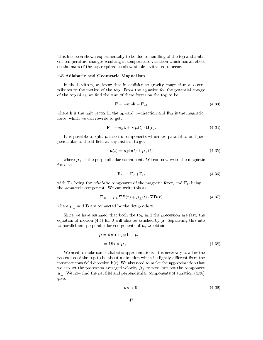This has been shown experimentally to be due to handling of the top and ambient temperature changes resulting in temperature variation which has an effect on the mass of the top required to allow stable levitation to occur.

#### 4.5 Adiabatic and Geometric Magnetism

In the Levitron, we know that in addition to gravity, magnetism also contributes to the motion of the top. From the equation for the potential energy of the top  $(4.1)$ , we find the sum of these forces on the top to be

$$
\mathbf{F} = -mg\mathbf{k} + \mathbf{F}_M \tag{4.33}
$$

where **k** is the unit vector in the upward z–direction and  $\mathbf{F}_M$  is the magnetic force, which we can rewrite to get:

$$
\mathbf{F} = -mg\mathbf{k} + \nabla\mu(t) \cdot \mathbf{B}(\mathbf{r}).\tag{4.34}
$$

It is possible to split  $\mu$  into its components which are parallel to and perpendicular to the  $B$  field at any instant, to get

$$
\boldsymbol{\mu}(t) = \mu_B \mathbf{b}(t) + \boldsymbol{\mu}_{\perp}(t) \tag{4.35}
$$

where  $\pmb{\mu}_\perp$  is the perpendicular component. We can now write the magnetic force as:

$$
\mathbf{F}_M \equiv \mathbf{F}_A + \mathbf{F}_G \tag{4.36}
$$

with  $\mathbf{F}_A$  being the *adiabatic* component of the magnetic force, and  $\mathbf{F}_G$  being the geometric component. We can write this as

$$
\mathbf{F}_M = \mu_B \nabla B(\mathbf{r}) + \boldsymbol{\mu}_{\perp}(t) \cdot \nabla \mathbf{B}(\mathbf{r}) \tag{4.37}
$$

where  $\mu_{\perp}$  and **B** are connected by the dot product.

Since we have assumed that both the top and the precession are fast, the equation of motion (4.5) for **J** will also be satisfied by  $\mu$ . Separating this into to parallel and perpendicular components of  $\mu$ , we obtain

$$
\dot{\mu} = \dot{\mu}_B \mathbf{b} + \mu_B \dot{\mathbf{b}} + \dot{\mu}_{\perp}
$$
  
=  $\Omega \mathbf{b} \times \mu_{\perp}$  (4.38)

We need to make some adiabatic approximations. It is necessary to allow the precession of the top to be about a direction which is slightly different from the instantaneous field direction  $\mathbf{b}(t)$ . We also need to make the approximation that we can set the precession averaged velocity  $\mu_{\perp}$  to zero, but not the component  $\mu_{\perp}$ . We now find the parallel and perpendicular components of equation (4.38) give:

$$
\dot{\mu}_B \approx 0 \tag{4.39}
$$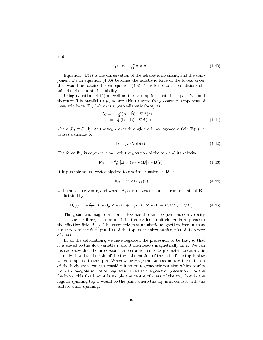$$
\mu_{\perp} \approx -\frac{\mu_B}{\Omega} \mathbf{b} \times \dot{\mathbf{b}}.\tag{4.40}
$$

Equation (4.39) is the conservation of the adiabatic invariant, and the component  $F_A$  in equation (4.36) becomes the adiabatic force of the lowest order that would be obtained from equation (4.8). This leads to the conditions obtained earlier for static stability.

Using equation (4.40) as well as the assumption that the top is fast and therefore **J** is parallel to  $\mu$ , we are able to write the geometric component of magnetic force,  $\mathbf{F}_G$  (which is a post-adiabatic force) as

$$
\mathbf{F}_G = -\frac{\mu_B}{\Omega} (\mathbf{b} \times \dot{\mathbf{b}}) \cdot \nabla \mathbf{B}(\mathbf{r}) \n= \frac{J_B}{B} (\mathbf{b} \times \dot{\mathbf{b}}) \cdot \nabla \mathbf{B}(\mathbf{r})
$$
\n(4.41)

where  $J_B \equiv \mathbf{J} \cdot \mathbf{b}$ . As the top moves through the inhomogeneous field  $\mathbf{B}(\mathbf{r})$ , it causes a change  $\dot{\mathbf{b}}$ :

$$
\dot{\mathbf{b}} = (\mathbf{v} \cdot \nabla)\mathbf{b}(\mathbf{r}).\tag{4.42}
$$

The force  $\mathbf{F}_G$  is dependent on both the position of the top and its velocity:

$$
\mathbf{F}_G = -\frac{J_B}{B^3} \left[ \mathbf{B} \times (\mathbf{v} \cdot \nabla) \mathbf{B} \right] \cdot \nabla \mathbf{B}(\mathbf{r}). \tag{4.43}
$$

It is possible to use vector algebra to rewrite equation (4.43) as

$$
\mathbf{F}_G = \mathbf{v} \times \mathbf{B}_{eff}(\mathbf{r}) \tag{4.44}
$$

with the vector  $\mathbf{v} = \dot{\mathbf{r}}$ , and where  $\mathbf{B}_{eff}$  is dependent on the components of  $\mathbf{B}_{eff}$ as dictated by

$$
\mathbf{B}_{eff} = -\frac{J_B}{B^3} (B_x \nabla B_y \times \nabla B_z + B_y \nabla B_z \times \nabla B_x + B_z \nabla B_x \times \nabla B_y \tag{4.45}
$$

The geometric magnetism force,  $\mathbf{F}_M$  has the same dependence on velocity as the Lorentz force, it seems as if the top carries a unit charge in response to the effective field  $B_{eff}$ . The geometric post-adiabatic magnetism force acts as a reaction to the fast spin  $J(t)$  of the top on the slow motion  $r(t)$  of its centre of mass.

In all the calculations, we have regarded the precession to be fast, so that it is slaved to the slow variable r and J then reacts magnetically on r. We can instead show that the precession can be considered to be geometric because J is actually slaved to the spin of the top - the motion of the axis of the top is slow when compared to the spin. When we average the precession over the nutation of the body axes, we can consider it to be a geometric reaction which results from a monopole source of magnetism fixed at the point of precession. For the Levitron, this fixed point is simply the centre of mass of the top, but in the regular spinning top it would be the point where the top is in contact with the surface while spinning.

and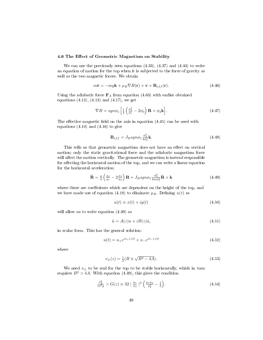#### 4.6 The Effect of Geometric Magnetism on Stability

We can use the previously seen equations (4.33), (4.37) and (4.44) to write an equation of motion for the top when it is subjected to the force of gravity as well as the two magnetic forces. We obtain

$$
m\ddot{\mathbf{r}} = -mg\mathbf{k} + \mu_B \nabla B(\mathbf{r}) + \mathbf{v} \times \mathbf{B}_{eff}(\mathbf{r}).\tag{4.46}
$$

Using the adiabatic force  $F_A$  from equation (4.63) with earlier obtained equations  $(4.12)$ ,  $(4.13)$  and  $(4.17)$ , we get

$$
\nabla B = sgn\phi_1 \left[ \frac{1}{4} \left( \frac{\phi_2^2}{\phi_1} - 2\phi_3 \right) \mathbf{R} + \phi_2 \mathbf{k} \right]. \tag{4.47}
$$

The effective magnetic field on the axis in equation  $(4.45)$  can be used with equations  $(4.10)$  and  $(4.16)$  to give

$$
\mathbf{B}_{eff} = J_B s g n \phi_1 \frac{\phi_2^2}{4\phi_1^2} \mathbf{k}.
$$
 (4.48)

This tells us that geometric magnetism does not have an effect on vertical motion; only the static gravitational force and the adiabatic magnetism force will affect the motion vertically. The geometric magnetism is instead responsible for affecting the horizontal motion of the top, and we can write a linear equation for the horizontal acceleration:

$$
\ddot{\mathbf{R}} = \frac{g}{4} \left( \frac{\phi_2}{\phi_1} - 2 \frac{\phi_3}{\phi_2} \right) \mathbf{R} + J_B s g n \phi_1 \frac{\phi_2^2}{4 m \phi_1^2} \dot{\mathbf{R}} \times \mathbf{k} \tag{4.49}
$$

where there are coefficients which are dependent on the height of the top, and we have made use of equation (4.18) to eliminate  $\mu_B$ . Defining  $u(t)$  as

$$
u(t) \equiv x(t) + iy(t) \tag{4.50}
$$

will allow us to write equation  $(4.49)$  as

$$
\ddot{u} = A(z)u + iB(z)\dot{u},\tag{4.51}
$$

in scalar form. This has the general solution:

$$
u(t) = u_{+}e^{i\nu_{+}(z)t} + u_{-}e^{i\nu_{-}(z)t}
$$
\n(4.52)

where

$$
\nu_{\pm}(z) = \frac{1}{2}(B \pm \sqrt{B^2 - 4A}).\tag{4.53}
$$

We need  $\nu_{\pm}$  to be real for the top to be stable horizontally, which in turn requires  $B^2 > 4A$ . With equation (4.49), this gives the condition

$$
\frac{J_B^2}{m^2 g} > G(z) \equiv 32 \mid \frac{\phi_1}{\phi_3} \mid^3 \left( \frac{\phi_1 \phi_3}{\phi_2^2} - \frac{1}{2} \right). \tag{4.54}
$$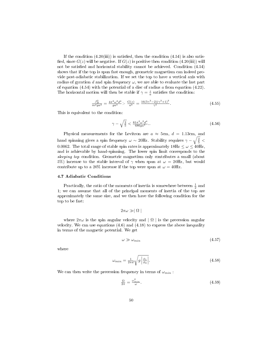If the condition  $(4.20(iii))$  is satisfied, then the condition  $(4.54)$  is also satisfied, since  $G(z)$  will be negative. If  $G(z)$  is positive then condition  $(4.20(iii))$  will not be satisfied and horizontal stability cannot be achieved. Condition  $(4.54)$ shows that if the top is spun fast enough, geometric magnetism can indeed provide post-adiabatic stabilization. If we set the top to have a vertical axis with radius of gyration d and spin frequency  $\omega$ , we are able to evaluate the last part of equation  $(4.54)$  with the potential of a disc of radius a from equation  $(4.22)$ . The horizontal motion will then be stable if  $\gamma = \frac{z}{a}$  satisfies the condition:

$$
\frac{J_B^2}{m^2 g a^3} = \frac{4\pi^2 \omega^2 d^4}{g a^3} > \frac{G(z)}{a^3} = \frac{16(5\gamma^2 - 2)(\gamma^2 + 1)^3}{\gamma^5}.
$$
\n(4.55)

This is equivalent to the condition:

$$
\gamma - \sqrt{\frac{2}{5}} < \frac{81\pi^2 \omega^2 d^4}{686 g a^3}.\tag{4.56}
$$

Physical measurements for the Levitron are  $a \approx 5$ cm,  $d = 1.13$ cm, and hand spinning gives a spin frequency  $\omega \sim 20$ Hz. Stability requires  $\gamma - \sqrt{\frac{2}{5}} <$ 0.0062. The total range of stable spin rates is approximately  $18Hz \leq \omega \leq 40Hz$ , and is achievable by hand-spinning. The lower spin limit corresponds to the sleeping top condition. Geometric magnetism only contributes a small (about 5%) increase to the stable interval of  $\gamma$  when spun at  $\omega = 20$ Hz, but would contribute up to a 20% increase if the top were spun at  $\omega = 40$ Hz.

#### 4.7 Adiabatic Conditions

Practically, the ratio of the moments of inertia is somewhere between  $\frac{1}{2}$  and 1; we can assume that all of the principal moments of inertia of the top are approximately the same size, and we then have the following condition for the top to be fast:

$$
2\pi\omega \gg |\Omega|
$$

where  $2\pi\omega$  is the spin angular velocity and  $|\Omega|$  is the precession angular velocity. We can use equations  $(4.6)$  and  $(4.18)$  to express the above inequality in terms of the magnetic potential. We get

$$
\omega \gg \omega_{min} \tag{4.57}
$$

where

$$
\omega_{min} = \frac{1}{2\pi d} \sqrt{g \left| \frac{\phi_1}{\phi_2} \right|}. \tag{4.58}
$$

We can then write the precession frequency in terms of  $\omega_{min}$ :

$$
\frac{\Omega}{2\pi} = \frac{\omega_{\min}^2}{\omega}.\tag{4.59}
$$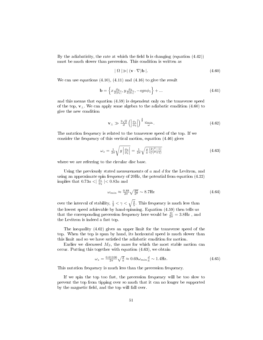By the adiabaticity, the rate at which the field  $\bf{b}$  is changing (equation (4.42)) must be much slower than precession. This condition is written as

$$
|\Omega| \gg |(\mathbf{v} \cdot \nabla)\mathbf{b}|. \tag{4.60}
$$

We can use equations (4.10), (4.11) and (4.16) to give the result

$$
\mathbf{b} = \left\{ x \frac{\phi_2}{2|\phi_1|}, y \frac{\phi_2}{2|\phi_1|}, -sgn\phi_1 \right\} + \dots \tag{4.61}
$$

and this means that equation (4.59) is dependent only on the transverse speed of the top,  $v_\perp$ . We can apply some algebra to the adiabatic condition (4.60) to give the new condition

$$
\mathbf{v}_{\perp} \gg \frac{2\sqrt{g}}{d} \left( \left| \frac{\phi_1}{\phi_2} \right| \right)^{\frac{3}{2}} \frac{\omega_{min}}{\omega}.
$$
\n(4.62)

The nutation frequency is related to the transverse speed of the top. If we consider the frequency of this vertical motion, equation (4.46) gives

$$
\omega_z = \frac{1}{2\pi} \sqrt{g \left| \frac{\phi_3}{\phi_2} \right|} = \frac{1}{2\pi} \sqrt{\frac{g(4\gamma^2 - 1)}{a \gamma(\gamma^2 + 1)}}\n\tag{4.63}
$$

where we are referring to the circular disc base.

Using the previously stated measurements of  $a$  and  $d$  for the Levitron, and using an approximate spin frequency of 20Hz, the potential from equation (4.22) implies that  $0.73a < \left| \frac{\phi_1}{\phi_2} \right| < 0.83a$  and

$$
\omega_{min} \approx \frac{0.88}{2\pi} \sqrt{\frac{ga}{d^2}} \sim 8.7 \text{Hz}
$$
\n(4.64)

over the interval of stability,  $\frac{1}{2} < \gamma < \sqrt{\frac{2}{5}}$ . This frequency is much less than the lowest speed achievable by hand-spinning. Equation (4.59) then tells us that the corresponding precession frequency here would be  $\frac{\Omega}{2\pi} = 3.8 \text{Hz}$  , and the Levitron is indeed a fast top.

The inequality (4.62) gives an upper limit for the transverse speed of the top. When the top is spun by hand, its horizontal speed is much slower than this limit and so we have satisfied the adiabatic condition for motion.

Earlier we discussed  $M<sub>S</sub>$ , the mass for which the most stable motion can occur. Putting this together with equation (4.63), we obtain

$$
\omega_z = \frac{0.61106}{2\pi} \sqrt{\frac{g}{a}} \approx 0.69 \omega_{min} \frac{d}{a} \sim 1.4 \,\text{Hz}.\tag{4.65}
$$

This nutation frequency is much less than the precession frequency.

If we spin the top too fast, the precession frequency will be too slow to prevent the top from tipping over so much that it can no longer be supported by the magnetic field, and the top will fall over.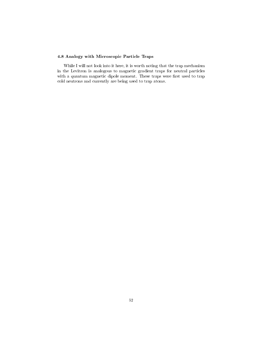#### 4.8 Analogy with Microscopic Particle Traps

While I will not look into it here, it is worth noting that the trap mechanism in the Levitron is analogous to magnetic gradient traps for neutral particles with a quantum magnetic dipole moment. These traps were first used to trap cold neutrons and currently are being used to trap atoms.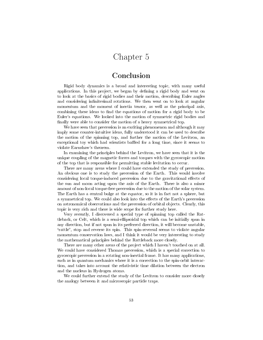### Chapter 5

### Conclusion

Rigid body dynamics is a broad and interesting topic, with many useful applications. In this project, we began by defining a rigid body and went on to look at the basics of rigid bodies and their motion, describing Euler angles and considering infinitesimal rotations. We then went on to look at angular momentum and the moment of inertia tensor, as well as the principal axis, combining these ideas to find the equations of motion for a rigid body to be Euler's equations. We looked into the motion of symmetric rigid bodies and finally were able to consider the motion of a heavy symmetrical top.

We have seen that precession is an exciting phenomenon and although it may imply some counter-intuitive ideas, fully understood it can be used to describe the motion of the spinning top, and further the motion of the Levitron, an exceptional toy which had scientists baffled for a long time, since it seems to violate Earnshaw's theorem.

In examining the principles behind the Levitron, we have seen that it is the unique coupling of the magnetic forces and torques with the gyroscopic motion of the top that is responsible for permitting stable levitation to occur.

There are many areas where I could have extended the study of precession. An obvious one is to study the precession of the Earth. This would involve considering local torque-induced precession due to the gravitational effects of the sun and moon acting upon the axis of the Earth. There is also a minor amount of non-local torque-free precession due to the motion of the solar system. The Earth has a central bulge at the equator, so it is in fact not a sphere, but a symmetrical top. We could also look into the effects of the Earth's precession on astronomical observations and the precession of orbital objects. Clearly, this topic is very rich and there is wide scope for further study here.

Very recently, I discovered a special type of spinning top called the Rattleback, or Celt, which is a semi-ellipsoidal top which can be initially spun in any direction, but if not spun in its preferred direction, it will become unstable, "rattle", stop and reverse its spin. This spin-reversal seems to violate angular momentum conservation laws, and I think it would be very interesting to study the mathematical principles behind the Rattleback more closely.

There are many other areas of the project which I haven't touched on at all. We could have considered Thomas precession, which is a special correction to gyroscopic precession in a rotating non-inertial frame. It has many applications, such as in quantum mechanics where it is a correction to the spin-orbit interaction, and takes into account the relativistic time dilation between the electron and the nucleus in Hydrogen atoms.

We could further extend the study of the Levitron to consider more closely the analogy between it and microscopic particle traps.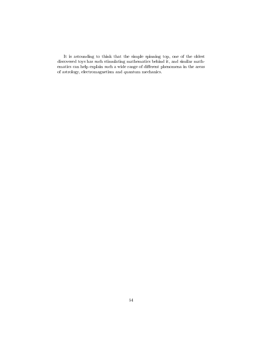It is astounding to think that the simple spinning top, one of the oldest discovered toys has such stimulating mathematics behind it, and similar mathematics can help explain such a wide range of different phenomena in the areas of astrology, electromagnetism and quantum mechanics.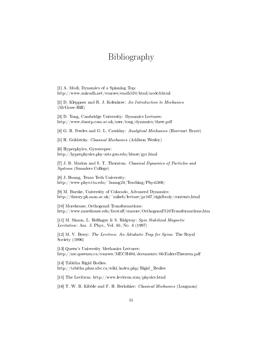## Bibliography

[1] A. Modi, Dynamics of a Spinning Top: http://www.anirudh.net/courses/emch520/html/node3.html

[2] D. Kleppner and R. J. Kolenkow: An Introduction to Mechanics (McGraw-Hill)

[3] D. Tong, Cambridge University: Dynamics Lectures: http://www.damtp.cam.ac.uk/user/tong/dynamics/three.pdf

[4] G. R. Fowles and G. L. Cassiday: Analytical Mechanics (Harcourt Brace)

[5] H. Goldstein: Classical Mechanics (Addison Wesley)

[6] Hyperphyics, Gyroscopes: http://hyperphysics.phy-astr.gsu.edu/hbase/gyr.html

[7] J. B. Marion and S. T. Thornton: Classical Dynamics of Particles and Systems (Saunders College)

[8] J. Huang, Texas Tech University: http://www.phys.ttu.edu/~huang24/Teaching/Phys5306/

[9] M. Burske, University of Colarado, Advanced Dynamics: http://theory.ph.man.ac.uk/~mikeb/lecture/pc167/rigidbody/contents.html

[10] Morehouse, Orthogonal Transformations: http://www.morehouse.edu/facstaff/cmoore/Orthogonal%20Transformations.htm

[11] M. Simon, L. Heflinger & S. Ridgway:  $Spin Stabilized Magnetic$ Levitation: Am. J. Phys., Vol. 65, No. 4 (1997)

[12] M. V. Berry: The Levitron: An Adiabatic Trap for Spins: The Royal Society (1996)

[13] Queen's University Mechanics Lectures: http://me.queensu.ca/courses/MECH494/documents/06-EulersTheorem.pdf

[14] Tabitha Rigid Bodies: http://tabitha.phas.ubc.ca/wiki/index.php/Rigid\_Bodies

[15] The Levitron: http://www.levitron.com/physics.html

[16] T. W. B. Kibble and F. H. Berkshire: Classical Mechanics (Longman)